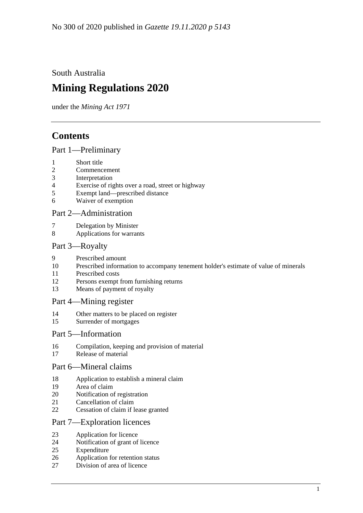South Australia

# **Mining Regulations 2020**

under the *Mining Act 1971*

# **Contents**

## Part [1—Preliminary](#page-3-0)

- [Short title](#page-3-1)
- [Commencement](#page-3-2)
- [Interpretation](#page-3-3)
- [Exercise of rights over a road, street or highway](#page-6-0)
- [Exempt land—prescribed distance](#page-6-1)
- [Waiver of exemption](#page-6-2)

## Part [2—Administration](#page-7-0)

- [Delegation by Minister](#page-7-1)
- [Applications for warrants](#page-7-2)

## Part [3—Royalty](#page-8-0)

- [Prescribed amount](#page-8-1)
- [Prescribed information to accompany tenement holder's estimate of value of minerals](#page-8-2)
- [Prescribed costs](#page-8-3)
- [Persons exempt from furnishing returns](#page-9-0)
- [Means of payment of royalty](#page-9-1)

## Part [4—Mining register](#page-9-2)

- [Other matters to be placed on register](#page-9-3)
- [Surrender of mortgages](#page-9-4)

## Part [5—Information](#page-9-5)

- [Compilation, keeping and provision of material](#page-9-6)
- [Release of material](#page-12-0)

## Part [6—Mineral claims](#page-13-0)

- [Application to establish a mineral claim](#page-13-1)
- [Area of claim](#page-13-2)
- [Notification of registration](#page-13-3)
- [Cancellation of claim](#page-13-4)
- [Cessation of claim if lease granted](#page-14-0)

## Part [7—Exploration licences](#page-14-1)

- [Application for licence](#page-14-2)
- [Notification of grant of licence](#page-15-0)
- [Expenditure](#page-15-1)
- [Application for retention status](#page-15-2)
- [Division of area of licence](#page-16-0)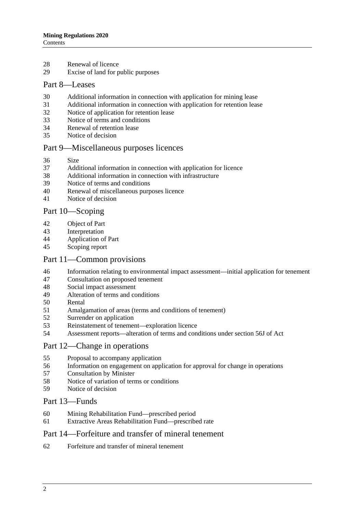- [Renewal of licence](#page-17-0)
- [Excise of land for public purposes](#page-18-0)

### Part [8—Leases](#page-18-1)

- [Additional information in connection with application for mining lease](#page-18-2)
- [Additional information in connection with application for retention lease](#page-19-0)<br>32 Notice of application for retention lease
- [Notice of application for retention lease](#page-20-0)
- [Notice of terms and conditions](#page-20-1)
- [Renewal of retention lease](#page-20-2)
- [Notice of decision](#page-21-0)

### Part [9—Miscellaneous purposes licences](#page-21-1)

- [Size](#page-21-2)
- [Additional information in connection with application for licence](#page-21-3)
- [Additional information in connection with infrastructure](#page-22-0)
- [Notice of terms and conditions](#page-22-1)
- [Renewal of miscellaneous purposes licence](#page-23-0)
- [Notice of decision](#page-23-1)

## Part [10—Scoping](#page-23-2)

- [Object of Part](#page-23-3)
- [Interpretation](#page-24-0)
- [Application of Part](#page-24-1)
- [Scoping report](#page-24-2)

#### Part [11—Common provisions](#page-25-0)

- [Information relating to environmental impact assessment—initial application for tenement](#page-25-1)
- [Consultation on proposed tenement](#page-27-0)
- [Social impact assessment](#page-27-1)
- [Alteration of terms and conditions](#page-28-0)
- [Rental](#page-28-1)
- [Amalgamation of areas \(terms and conditions of tenement\)](#page-29-0)
- [Surrender on application](#page-29-1)
- [Reinstatement of tenement—exploration licence](#page-30-0)
- [Assessment reports—alteration of terms and conditions under section 56J of Act](#page-30-1)

#### Part [12—Change in operations](#page-30-2)

- [Proposal to accompany application](#page-30-3)
- [Information on engagement on application for approval for change in operations](#page-31-0)
- [Consultation by Minister](#page-31-1)
- [Notice of variation of terms or conditions](#page-32-0)
- [Notice of decision](#page-32-1)

### Part [13—Funds](#page-32-2)

- [Mining Rehabilitation Fund—prescribed period](#page-32-3)
- [Extractive Areas Rehabilitation Fund—prescribed rate](#page-32-4)

#### Part [14—Forfeiture and transfer of mineral tenement](#page-32-5)

[Forfeiture and transfer of mineral tenement](#page-32-6)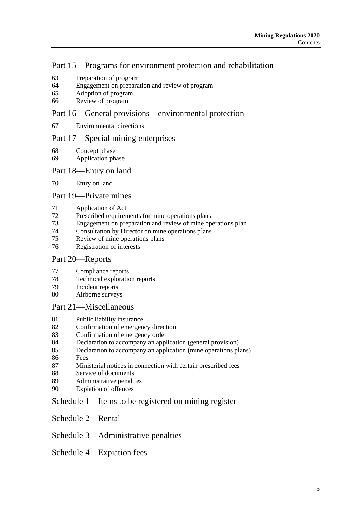## Part [15—Programs for environment protection and rehabilitation](#page-33-0)

- [Preparation of program](#page-33-1)
- [Engagement on preparation and review of program](#page-34-0)
- [Adoption of program](#page-35-0)
- [Review of program](#page-35-1)

## Part [16—General provisions—environmental protection](#page-35-2)

[Environmental directions](#page-35-3)

## Part [17—Special mining enterprises](#page-36-0)

- [Concept phase](#page-36-1)
- [Application phase](#page-37-0)

## Part [18—Entry on land](#page-38-0)

[Entry on land](#page-38-1)

## Part [19—Private mines](#page-38-2)

- [Application of Act](#page-38-3)
- [Prescribed requirements for mine operations plans](#page-38-4)
- [Engagement on preparation and review of mine operations plan](#page-40-0)
- [Consultation by Director on mine operations plans](#page-41-0)<br>75 Review of mine operations plans
- [Review of mine operations plans](#page-41-1)
- [Registration of interests](#page-42-0)

## Part [20—Reports](#page-42-1)

- [Compliance reports](#page-42-2)
- [Technical exploration reports](#page-44-0)<br>79 Incident reports
- [Incident reports](#page-45-0)
- [Airborne surveys](#page-46-0)

## Part [21—Miscellaneous](#page-47-0)

- [Public liability insurance](#page-47-1)
- [Confirmation of emergency direction](#page-48-0)
- [Confirmation of emergency order](#page-48-1)
- [Declaration to accompany an application \(general provision\)](#page-48-2)
- [Declaration to accompany an application \(mine](#page-48-3) operations plans)
- [Fees](#page-49-0)
- [Ministerial notices in connection with certain prescribed fees](#page-49-1)
- [Service of documents](#page-50-0)
- [Administrative penalties](#page-50-1)
- [Expiation of offences](#page-51-0)

## Schedule [1—Items to be registered on mining register](#page-51-1)

Schedule [2—Rental](#page-52-0)

## Schedule [3—Administrative penalties](#page-53-0)

Schedule [4—Expiation fees](#page-53-1)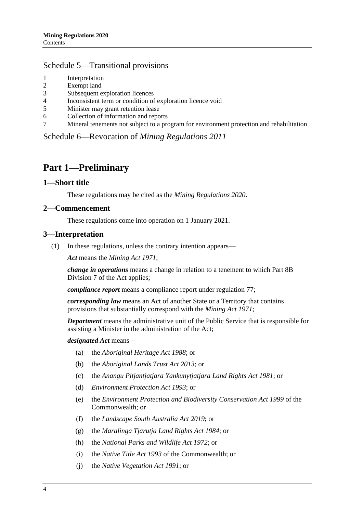## Schedule [5—Transitional provisions](#page-53-2)

- 1 [Interpretation](#page-53-3)
- 2 [Exempt land](#page-54-0)
- 3 [Subsequent exploration licences](#page-54-1)
- 4 [Inconsistent term or condition of exploration licence void](#page-54-2)
- 5 [Minister may grant retention lease](#page-54-3)
- 6 [Collection of information and reports](#page-54-4)
- 7 [Mineral tenements not subject to a program for environment protection and rehabilitation](#page-55-0)

Schedule 6—Revocation of *[Mining Regulations](#page-55-1) 2011*

## <span id="page-3-0"></span>**Part 1—Preliminary**

#### <span id="page-3-1"></span>**1—Short title**

These regulations may be cited as the *Mining Regulations 2020*.

#### <span id="page-3-2"></span>**2—Commencement**

These regulations come into operation on 1 January 2021.

#### <span id="page-3-3"></span>**3—Interpretation**

(1) In these regulations, unless the contrary intention appears—

*Act* means the *[Mining Act](http://www.legislation.sa.gov.au/index.aspx?action=legref&type=act&legtitle=Mining%20Act%201971) 1971*;

*change in operations* means a change in relation to a tenement to which Part 8B Division 7 of the Act applies;

*compliance report* means a compliance report under [regulation](#page-42-2) 77;

*corresponding law* means an Act of another State or a Territory that contains provisions that substantially correspond with the *[Mining Act](http://www.legislation.sa.gov.au/index.aspx?action=legref&type=act&legtitle=Mining%20Act%201971) 1971*;

*Department* means the administrative unit of the Public Service that is responsible for assisting a Minister in the administration of the Act;

#### *designated Act* means—

- (a) the *[Aboriginal Heritage Act](http://www.legislation.sa.gov.au/index.aspx?action=legref&type=act&legtitle=Aboriginal%20Heritage%20Act%201988) 1988*; or
- (b) the *[Aboriginal Lands Trust Act](http://www.legislation.sa.gov.au/index.aspx?action=legref&type=act&legtitle=Aboriginal%20Lands%20Trust%20Act%202013) 2013*; or
- (c) the *[Anangu Pitjantjatjara Yankunytjatjara Land Rights Act](http://www.legislation.sa.gov.au/index.aspx?action=legref&type=act&legtitle=Anangu%20Pitjantjatjara%20Yankunytjatjara%20Land%20Rights%20Act%201981) 1981*; or
- (d) *[Environment Protection Act](http://www.legislation.sa.gov.au/index.aspx?action=legref&type=act&legtitle=Environment%20Protection%20Act%201993) 1993*; or
- (e) the *Environment Protection and Biodiversity Conservation Act 1999* of the Commonwealth; or
- (f) the *[Landscape South Australia Act](http://www.legislation.sa.gov.au/index.aspx?action=legref&type=act&legtitle=Landscape%20South%20Australia%20Act%202019) 2019*; or
- (g) the *[Maralinga Tjarutja Land Rights Act](http://www.legislation.sa.gov.au/index.aspx?action=legref&type=act&legtitle=Maralinga%20Tjarutja%20Land%20Rights%20Act%201984) 1984*; or
- (h) the *[National Parks and Wildlife Act](http://www.legislation.sa.gov.au/index.aspx?action=legref&type=act&legtitle=National%20Parks%20and%20Wildlife%20Act%201972) 1972*; or
- (i) the *Native Title Act 1993* of the Commonwealth; or
- (j) the *[Native Vegetation Act](http://www.legislation.sa.gov.au/index.aspx?action=legref&type=act&legtitle=Native%20Vegetation%20Act%201991) 1991*; or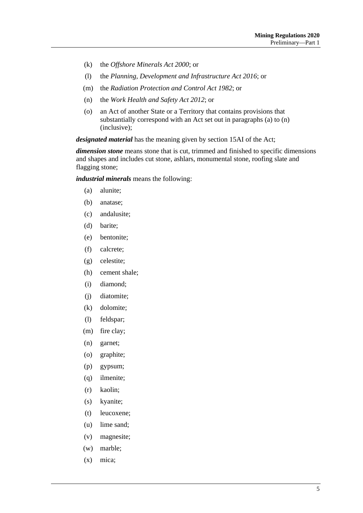- (k) the *[Offshore Minerals Act](http://www.legislation.sa.gov.au/index.aspx?action=legref&type=act&legtitle=Offshore%20Minerals%20Act%202000) 2000*; or
- (l) the *[Planning, Development and Infrastructure](http://www.legislation.sa.gov.au/index.aspx?action=legref&type=act&legtitle=Planning%20Development%20and%20Infrastructure%20Act%202016) Act 2016*; or
- (m) the *[Radiation Protection and Control Act](http://www.legislation.sa.gov.au/index.aspx?action=legref&type=act&legtitle=Radiation%20Protection%20and%20Control%20Act%201982) 1982*; or
- (n) the *[Work Health and Safety Act](http://www.legislation.sa.gov.au/index.aspx?action=legref&type=act&legtitle=Work%20Health%20and%20Safety%20Act%202012) 2012*; or
- (o) an Act of another State or a Territory that contains provisions that substantially correspond with an Act set out in paragraphs (a) to (n) (inclusive);

*designated material* has the meaning given by section 15AI of the Act;

*dimension stone* means stone that is cut, trimmed and finished to specific dimensions and shapes and includes cut stone, ashlars, monumental stone, roofing slate and flagging stone;

*industrial minerals* means the following:

- (a) alunite;
- (b) anatase;
- (c) andalusite;
- (d) barite;
- (e) bentonite;
- (f) calcrete;
- (g) celestite;
- (h) cement shale;
- (i) diamond;
- (j) diatomite;
- (k) dolomite;
- (l) feldspar;
- (m) fire clay;
- (n) garnet;
- (o) graphite;
- (p) gypsum;
- (q) ilmenite;
- (r) kaolin;
- (s) kyanite;
- (t) leucoxene;
- (u) lime sand;
- (v) magnesite;
- (w) marble;
- (x) mica;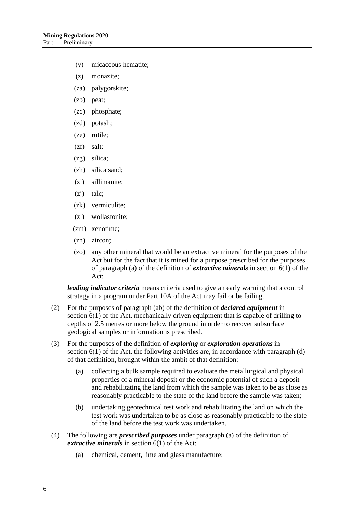- (y) micaceous hematite;
- (z) monazite;
- (za) palygorskite;
- (zb) peat;
- (zc) phosphate;
- (zd) potash;
- (ze) rutile;
- (zf) salt;
- (zg) silica;
- (zh) silica sand;
- (zi) sillimanite;
- (zj) talc;
- (zk) vermiculite;
- (zl) wollastonite;
- (zm) xenotime;
- (zn) zircon;
- (zo) any other mineral that would be an extractive mineral for the purposes of the Act but for the fact that it is mined for a purpose prescribed for the purposes of paragraph (a) of the definition of *extractive minerals* in section 6(1) of the Act;

*leading indicator criteria* means criteria used to give an early warning that a control strategy in a program under Part 10A of the Act may fail or be failing.

- (2) For the purposes of paragraph (ab) of the definition of *declared equipment* in section 6(1) of the Act, mechanically driven equipment that is capable of drilling to depths of 2.5 metres or more below the ground in order to recover subsurface geological samples or information is prescribed.
- (3) For the purposes of the definition of *exploring* or *exploration operations* in section  $6(1)$  of the Act, the following activities are, in accordance with paragraph  $(d)$ of that definition, brought within the ambit of that definition:
	- (a) collecting a bulk sample required to evaluate the metallurgical and physical properties of a mineral deposit or the economic potential of such a deposit and rehabilitating the land from which the sample was taken to be as close as reasonably practicable to the state of the land before the sample was taken;
	- (b) undertaking geotechnical test work and rehabilitating the land on which the test work was undertaken to be as close as reasonably practicable to the state of the land before the test work was undertaken.
- (4) The following are *prescribed purposes* under paragraph (a) of the definition of *extractive minerals* in section 6(1) of the Act:
	- (a) chemical, cement, lime and glass manufacture;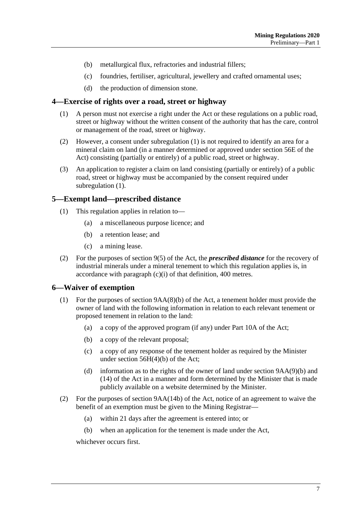- (b) metallurgical flux, refractories and industrial fillers;
- (c) foundries, fertiliser, agricultural, jewellery and crafted ornamental uses;
- (d) the production of dimension stone.

#### <span id="page-6-3"></span><span id="page-6-0"></span>**4—Exercise of rights over a road, street or highway**

- (1) A person must not exercise a right under the Act or these regulations on a public road, street or highway without the written consent of the authority that has the care, control or management of the road, street or highway.
- (2) However, a consent under [subregulation](#page-6-3) (1) is not required to identify an area for a mineral claim on land (in a manner determined or approved under section 56E of the Act) consisting (partially or entirely) of a public road, street or highway.
- (3) An application to register a claim on land consisting (partially or entirely) of a public road, street or highway must be accompanied by the consent required under [subregulation](#page-6-3) (1).

#### <span id="page-6-1"></span>**5—Exempt land—prescribed distance**

- (1) This regulation applies in relation to—
	- (a) a miscellaneous purpose licence; and
	- (b) a retention lease; and
	- (c) a mining lease.
- (2) For the purposes of section 9(5) of the Act, the *prescribed distance* for the recovery of industrial minerals under a mineral tenement to which this regulation applies is, in accordance with paragraph (c)(i) of that definition, 400 metres.

## <span id="page-6-2"></span>**6—Waiver of exemption**

- (1) For the purposes of section 9AA(8)(b) of the Act, a tenement holder must provide the owner of land with the following information in relation to each relevant tenement or proposed tenement in relation to the land:
	- (a) a copy of the approved program (if any) under Part 10A of the Act;
	- (b) a copy of the relevant proposal;
	- (c) a copy of any response of the tenement holder as required by the Minister under section 56H(4)(b) of the Act;
	- (d) information as to the rights of the owner of land under section  $9AA(9)(b)$  and (14) of the Act in a manner and form determined by the Minister that is made publicly available on a website determined by the Minister.
- (2) For the purposes of section 9AA(14b) of the Act, notice of an agreement to waive the benefit of an exemption must be given to the Mining Registrar—
	- (a) within 21 days after the agreement is entered into; or
	- (b) when an application for the tenement is made under the Act,

whichever occurs first.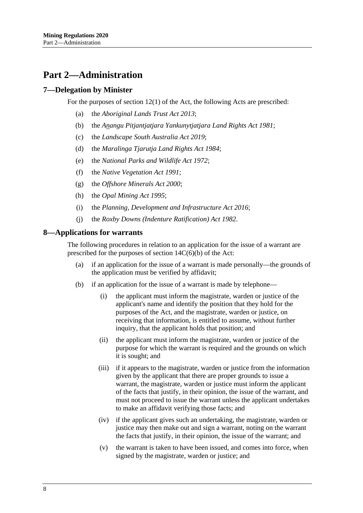## <span id="page-7-0"></span>**Part 2—Administration**

## <span id="page-7-1"></span>**7—Delegation by Minister**

For the purposes of section 12(1) of the Act, the following Acts are prescribed:

- (a) the *[Aboriginal Lands Trust Act](http://www.legislation.sa.gov.au/index.aspx?action=legref&type=act&legtitle=Aboriginal%20Lands%20Trust%20Act%202013) 2013*;
- (b) the *[Anangu Pitjantjatjara Yankunytjatjara Land](http://www.legislation.sa.gov.au/index.aspx?action=legref&type=act&legtitle=Anangu%20Pitjantjatjara%20Yankunytjatjara%20Land%20Rights%20Act%201981) Rights Act 1981*;
- (c) the *[Landscape South Australia Act](http://www.legislation.sa.gov.au/index.aspx?action=legref&type=act&legtitle=Landscape%20South%20Australia%20Act%202019) 2019*;
- (d) the *[Maralinga Tjarutja Land Rights Act](http://www.legislation.sa.gov.au/index.aspx?action=legref&type=act&legtitle=Maralinga%20Tjarutja%20Land%20Rights%20Act%201984) 1984*;
- (e) the *[National Parks and Wildlife Act](http://www.legislation.sa.gov.au/index.aspx?action=legref&type=act&legtitle=National%20Parks%20and%20Wildlife%20Act%201972) 1972*;
- (f) the *[Native Vegetation Act](http://www.legislation.sa.gov.au/index.aspx?action=legref&type=act&legtitle=Native%20Vegetation%20Act%201991) 1991*;
- (g) the *[Offshore Minerals Act](http://www.legislation.sa.gov.au/index.aspx?action=legref&type=act&legtitle=Offshore%20Minerals%20Act%202000) 2000*;
- (h) the *[Opal Mining Act](http://www.legislation.sa.gov.au/index.aspx?action=legref&type=act&legtitle=Opal%20Mining%20Act%201995) 1995*;
- (i) the *[Planning, Development and Infrastructure Act](http://www.legislation.sa.gov.au/index.aspx?action=legref&type=act&legtitle=Planning%20Development%20and%20Infrastructure%20Act%202016) 2016*;
- (j) the *[Roxby Downs \(Indenture Ratification\) Act](http://www.legislation.sa.gov.au/index.aspx?action=legref&type=act&legtitle=Roxby%20Downs%20(Indenture%20Ratification)%20Act%201982) 1982*.

#### <span id="page-7-2"></span>**8—Applications for warrants**

The following procedures in relation to an application for the issue of a warrant are prescribed for the purposes of section 14C(6)(b) of the Act:

- (a) if an application for the issue of a warrant is made personally—the grounds of the application must be verified by affidavit;
- <span id="page-7-3"></span>(b) if an application for the issue of a warrant is made by telephone—
	- (i) the applicant must inform the magistrate, warden or justice of the applicant's name and identify the position that they hold for the purposes of the Act, and the magistrate, warden or justice, on receiving that information, is entitled to assume, without further inquiry, that the applicant holds that position; and
	- (ii) the applicant must inform the magistrate, warden or justice of the purpose for which the warrant is required and the grounds on which it is sought; and
	- (iii) if it appears to the magistrate, warden or justice from the information given by the applicant that there are proper grounds to issue a warrant, the magistrate, warden or justice must inform the applicant of the facts that justify, in their opinion, the issue of the warrant, and must not proceed to issue the warrant unless the applicant undertakes to make an affidavit verifying those facts; and
	- (iv) if the applicant gives such an undertaking, the magistrate, warden or justice may then make out and sign a warrant, noting on the warrant the facts that justify, in their opinion, the issue of the warrant; and
	- (v) the warrant is taken to have been issued, and comes into force, when signed by the magistrate, warden or justice; and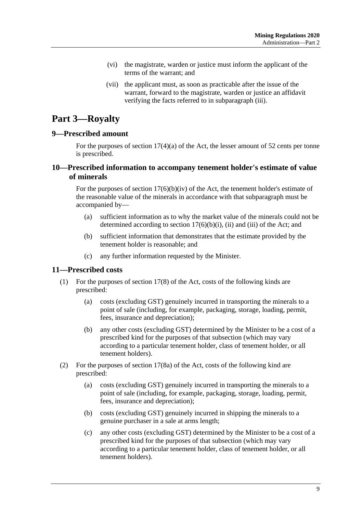- (vi) the magistrate, warden or justice must inform the applicant of the terms of the warrant; and
- (vii) the applicant must, as soon as practicable after the issue of the warrant, forward to the magistrate, warden or justice an affidavit verifying the facts referred to in [subparagraph](#page-7-3) (iii).

## <span id="page-8-0"></span>**Part 3—Royalty**

#### <span id="page-8-1"></span>**9—Prescribed amount**

For the purposes of section 17(4)(a) of the Act, the lesser amount of 52 cents per tonne is prescribed.

## <span id="page-8-2"></span>**10—Prescribed information to accompany tenement holder's estimate of value of minerals**

For the purposes of section  $17(6)(b)(iv)$  of the Act, the tenement holder's estimate of the reasonable value of the minerals in accordance with that subparagraph must be accompanied by—

- (a) sufficient information as to why the market value of the minerals could not be determined according to section  $17(6)(b)(i)$ , (ii) and (iii) of the Act; and
- (b) sufficient information that demonstrates that the estimate provided by the tenement holder is reasonable; and
- (c) any further information requested by the Minister.

## <span id="page-8-3"></span>**11—Prescribed costs**

- (1) For the purposes of section 17(8) of the Act, costs of the following kinds are prescribed:
	- (a) costs (excluding GST) genuinely incurred in transporting the minerals to a point of sale (including, for example, packaging, storage, loading, permit, fees, insurance and depreciation);
	- (b) any other costs (excluding GST) determined by the Minister to be a cost of a prescribed kind for the purposes of that subsection (which may vary according to a particular tenement holder, class of tenement holder, or all tenement holders).
- (2) For the purposes of section 17(8a) of the Act, costs of the following kind are prescribed:
	- (a) costs (excluding GST) genuinely incurred in transporting the minerals to a point of sale (including, for example, packaging, storage, loading, permit, fees, insurance and depreciation);
	- (b) costs (excluding GST) genuinely incurred in shipping the minerals to a genuine purchaser in a sale at arms length;
	- (c) any other costs (excluding GST) determined by the Minister to be a cost of a prescribed kind for the purposes of that subsection (which may vary according to a particular tenement holder, class of tenement holder, or all tenement holders).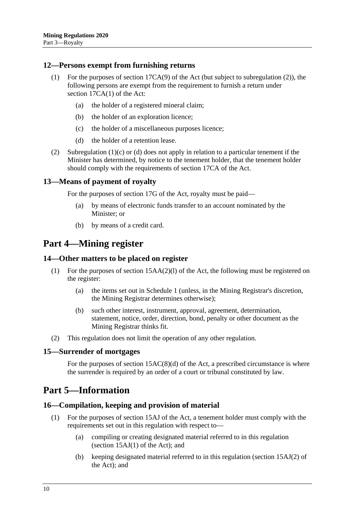#### <span id="page-9-0"></span>**12—Persons exempt from furnishing returns**

- (1) For the purposes of section 17CA(9) of the Act (but subject to [subregulation](#page-9-7) (2)), the following persons are exempt from the requirement to furnish a return under section 17CA(1) of the Act:
	- (a) the holder of a registered mineral claim;
	- (b) the holder of an exploration licence;
	- (c) the holder of a miscellaneous purposes licence;
	- (d) the holder of a retention lease.
- <span id="page-9-9"></span><span id="page-9-8"></span><span id="page-9-7"></span>(2) [Subregulation](#page-9-8) (1)(c) or [\(d\)](#page-9-9) does not apply in relation to a particular tenement if the Minister has determined, by notice to the tenement holder, that the tenement holder should comply with the requirements of section 17CA of the Act.

#### <span id="page-9-1"></span>**13—Means of payment of royalty**

For the purposes of section 17G of the Act, royalty must be paid—

- (a) by means of electronic funds transfer to an account nominated by the Minister; or
- (b) by means of a credit card.

## <span id="page-9-2"></span>**Part 4—Mining register**

#### <span id="page-9-3"></span>**14—Other matters to be placed on register**

- (1) For the purposes of section 15AA(2)(l) of the Act, the following must be registered on the register:
	- (a) the items set out in [Schedule](#page-51-1) 1 (unless, in the Mining Registrar's discretion, the Mining Registrar determines otherwise);
	- (b) such other interest, instrument, approval, agreement, determination, statement, notice, order, direction, bond, penalty or other document as the Mining Registrar thinks fit.
- (2) This regulation does not limit the operation of any other regulation.

#### <span id="page-9-4"></span>**15—Surrender of mortgages**

For the purposes of section  $15AC(8)(d)$  of the Act, a prescribed circumstance is where the surrender is required by an order of a court or tribunal constituted by law.

## <span id="page-9-5"></span>**Part 5—Information**

#### <span id="page-9-6"></span>**16—Compilation, keeping and provision of material**

- (1) For the purposes of section 15AJ of the Act, a tenement holder must comply with the requirements set out in this regulation with respect to—
	- (a) compiling or creating designated material referred to in this regulation (section  $15AJ(1)$  of the Act); and
	- (b) keeping designated material referred to in this regulation (section 15AJ(2) of the Act); and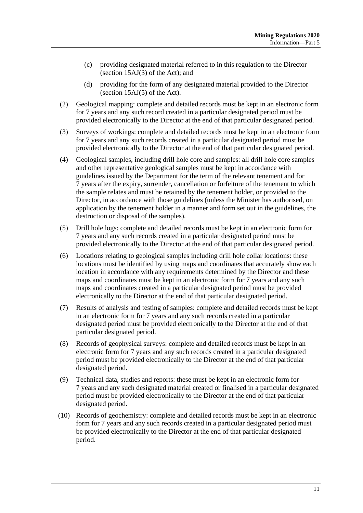- (c) providing designated material referred to in this regulation to the Director (section 15AJ(3) of the Act); and
- (d) providing for the form of any designated material provided to the Director (section 15AJ(5) of the Act).
- (2) Geological mapping: complete and detailed records must be kept in an electronic form for 7 years and any such record created in a particular designated period must be provided electronically to the Director at the end of that particular designated period.
- (3) Surveys of workings: complete and detailed records must be kept in an electronic form for 7 years and any such records created in a particular designated period must be provided electronically to the Director at the end of that particular designated period.
- (4) Geological samples, including drill hole core and samples: all drill hole core samples and other representative geological samples must be kept in accordance with guidelines issued by the Department for the term of the relevant tenement and for 7 years after the expiry, surrender, cancellation or forfeiture of the tenement to which the sample relates and must be retained by the tenement holder, or provided to the Director, in accordance with those guidelines (unless the Minister has authorised, on application by the tenement holder in a manner and form set out in the guidelines, the destruction or disposal of the samples).
- (5) Drill hole logs: complete and detailed records must be kept in an electronic form for 7 years and any such records created in a particular designated period must be provided electronically to the Director at the end of that particular designated period.
- (6) Locations relating to geological samples including drill hole collar locations: these locations must be identified by using maps and coordinates that accurately show each location in accordance with any requirements determined by the Director and these maps and coordinates must be kept in an electronic form for 7 years and any such maps and coordinates created in a particular designated period must be provided electronically to the Director at the end of that particular designated period.
- (7) Results of analysis and testing of samples: complete and detailed records must be kept in an electronic form for 7 years and any such records created in a particular designated period must be provided electronically to the Director at the end of that particular designated period.
- (8) Records of geophysical surveys: complete and detailed records must be kept in an electronic form for 7 years and any such records created in a particular designated period must be provided electronically to the Director at the end of that particular designated period.
- (9) Technical data, studies and reports: these must be kept in an electronic form for 7 years and any such designated material created or finalised in a particular designated period must be provided electronically to the Director at the end of that particular designated period.
- (10) Records of geochemistry: complete and detailed records must be kept in an electronic form for 7 years and any such records created in a particular designated period must be provided electronically to the Director at the end of that particular designated period.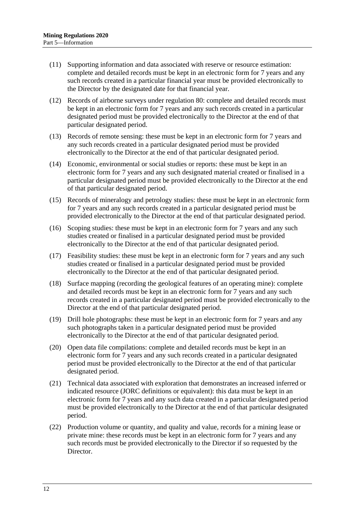- (11) Supporting information and data associated with reserve or resource estimation: complete and detailed records must be kept in an electronic form for 7 years and any such records created in a particular financial year must be provided electronically to the Director by the designated date for that financial year.
- (12) Records of airborne surveys under [regulation](#page-46-0) 80: complete and detailed records must be kept in an electronic form for 7 years and any such records created in a particular designated period must be provided electronically to the Director at the end of that particular designated period.
- (13) Records of remote sensing: these must be kept in an electronic form for 7 years and any such records created in a particular designated period must be provided electronically to the Director at the end of that particular designated period.
- (14) Economic, environmental or social studies or reports: these must be kept in an electronic form for 7 years and any such designated material created or finalised in a particular designated period must be provided electronically to the Director at the end of that particular designated period.
- (15) Records of mineralogy and petrology studies: these must be kept in an electronic form for 7 years and any such records created in a particular designated period must be provided electronically to the Director at the end of that particular designated period.
- (16) Scoping studies: these must be kept in an electronic form for 7 years and any such studies created or finalised in a particular designated period must be provided electronically to the Director at the end of that particular designated period.
- (17) Feasibility studies: these must be kept in an electronic form for 7 years and any such studies created or finalised in a particular designated period must be provided electronically to the Director at the end of that particular designated period.
- (18) Surface mapping (recording the geological features of an operating mine): complete and detailed records must be kept in an electronic form for 7 years and any such records created in a particular designated period must be provided electronically to the Director at the end of that particular designated period.
- (19) Drill hole photographs: these must be kept in an electronic form for 7 years and any such photographs taken in a particular designated period must be provided electronically to the Director at the end of that particular designated period.
- (20) Open data file compilations: complete and detailed records must be kept in an electronic form for 7 years and any such records created in a particular designated period must be provided electronically to the Director at the end of that particular designated period.
- (21) Technical data associated with exploration that demonstrates an increased inferred or indicated resource (JORC definitions or equivalent): this data must be kept in an electronic form for 7 years and any such data created in a particular designated period must be provided electronically to the Director at the end of that particular designated period.
- (22) Production volume or quantity, and quality and value, records for a mining lease or private mine: these records must be kept in an electronic form for 7 years and any such records must be provided electronically to the Director if so requested by the Director.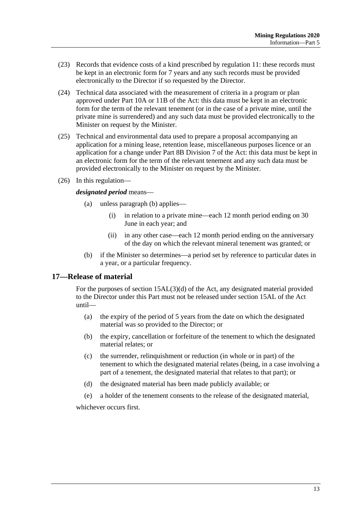- (23) Records that evidence costs of a kind prescribed by [regulation](#page-8-3) 11: these records must be kept in an electronic form for 7 years and any such records must be provided electronically to the Director if so requested by the Director.
- (24) Technical data associated with the measurement of criteria in a program or plan approved under Part 10A or 11B of the Act: this data must be kept in an electronic form for the term of the relevant tenement (or in the case of a private mine, until the private mine is surrendered) and any such data must be provided electronically to the Minister on request by the Minister.
- (25) Technical and environmental data used to prepare a proposal accompanying an application for a mining lease, retention lease, miscellaneous purposes licence or an application for a change under Part 8B Division 7 of the Act: this data must be kept in an electronic form for the term of the relevant tenement and any such data must be provided electronically to the Minister on request by the Minister.
- (26) In this regulation—

#### *designated period* means—

- (a) unless [paragraph](#page-12-1) (b) applies—
	- (i) in relation to a private mine—each 12 month period ending on 30 June in each year; and
	- (ii) in any other case—each 12 month period ending on the anniversary of the day on which the relevant mineral tenement was granted; or
- (b) if the Minister so determines—a period set by reference to particular dates in a year, or a particular frequency.

## <span id="page-12-1"></span><span id="page-12-0"></span>**17—Release of material**

For the purposes of section 15AL(3)(d) of the Act, any designated material provided to the Director under this Part must not be released under section 15AL of the Act until—

- (a) the expiry of the period of 5 years from the date on which the designated material was so provided to the Director; or
- (b) the expiry, cancellation or forfeiture of the tenement to which the designated material relates; or
- (c) the surrender, relinquishment or reduction (in whole or in part) of the tenement to which the designated material relates (being, in a case involving a part of a tenement, the designated material that relates to that part); or
- (d) the designated material has been made publicly available; or
- (e) a holder of the tenement consents to the release of the designated material,

whichever occurs first.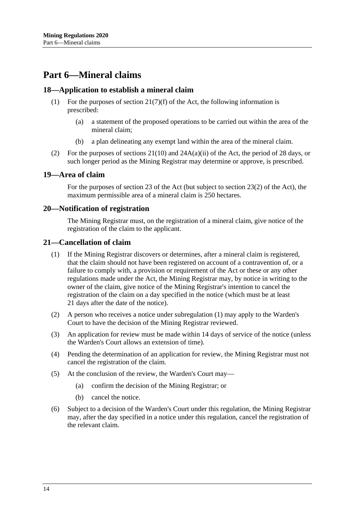## <span id="page-13-0"></span>**Part 6—Mineral claims**

#### <span id="page-13-1"></span>**18—Application to establish a mineral claim**

- (1) For the purposes of section  $21(7)(f)$  of the Act, the following information is prescribed:
	- (a) a statement of the proposed operations to be carried out within the area of the mineral claim;
	- (b) a plan delineating any exempt land within the area of the mineral claim.
- (2) For the purposes of sections  $21(10)$  and  $24A(a)(ii)$  of the Act, the period of 28 days, or such longer period as the Mining Registrar may determine or approve, is prescribed.

#### <span id="page-13-2"></span>**19—Area of claim**

For the purposes of section 23 of the Act (but subject to section 23(2) of the Act), the maximum permissible area of a mineral claim is 250 hectares.

#### <span id="page-13-3"></span>**20—Notification of registration**

The Mining Registrar must, on the registration of a mineral claim, give notice of the registration of the claim to the applicant.

#### <span id="page-13-5"></span><span id="page-13-4"></span>**21—Cancellation of claim**

- (1) If the Mining Registrar discovers or determines, after a mineral claim is registered, that the claim should not have been registered on account of a contravention of, or a failure to comply with, a provision or requirement of the Act or these or any other regulations made under the Act, the Mining Registrar may, by notice in writing to the owner of the claim, give notice of the Mining Registrar's intention to cancel the registration of the claim on a day specified in the notice (which must be at least 21 days after the date of the notice).
- (2) A person who receives a notice under [subregulation](#page-13-5) (1) may apply to the Warden's Court to have the decision of the Mining Registrar reviewed.
- (3) An application for review must be made within 14 days of service of the notice (unless the Warden's Court allows an extension of time).
- (4) Pending the determination of an application for review, the Mining Registrar must not cancel the registration of the claim.
- (5) At the conclusion of the review, the Warden's Court may—
	- (a) confirm the decision of the Mining Registrar; or
	- (b) cancel the notice.
- (6) Subject to a decision of the Warden's Court under this regulation, the Mining Registrar may, after the day specified in a notice under this regulation, cancel the registration of the relevant claim.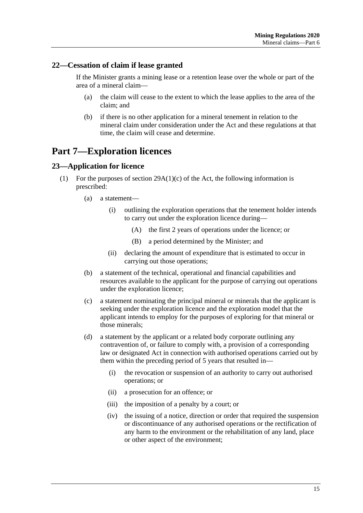## <span id="page-14-0"></span>**22—Cessation of claim if lease granted**

If the Minister grants a mining lease or a retention lease over the whole or part of the area of a mineral claim—

- (a) the claim will cease to the extent to which the lease applies to the area of the claim; and
- (b) if there is no other application for a mineral tenement in relation to the mineral claim under consideration under the Act and these regulations at that time, the claim will cease and determine.

## <span id="page-14-1"></span>**Part 7—Exploration licences**

## <span id="page-14-3"></span><span id="page-14-2"></span>**23—Application for licence**

- (1) For the purposes of section  $29A(1)(c)$  of the Act, the following information is prescribed:
	- (a) a statement—
		- (i) outlining the exploration operations that the tenement holder intends to carry out under the exploration licence during—
			- (A) the first 2 years of operations under the licence; or
			- (B) a period determined by the Minister; and
		- (ii) declaring the amount of expenditure that is estimated to occur in carrying out those operations;
	- (b) a statement of the technical, operational and financial capabilities and resources available to the applicant for the purpose of carrying out operations under the exploration licence;
	- (c) a statement nominating the principal mineral or minerals that the applicant is seeking under the exploration licence and the exploration model that the applicant intends to employ for the purposes of exploring for that mineral or those minerals;
	- (d) a statement by the applicant or a related body corporate outlining any contravention of, or failure to comply with, a provision of a corresponding law or designated Act in connection with authorised operations carried out by them within the preceding period of 5 years that resulted in—
		- (i) the revocation or suspension of an authority to carry out authorised operations; or
		- (ii) a prosecution for an offence; or
		- (iii) the imposition of a penalty by a court; or
		- (iv) the issuing of a notice, direction or order that required the suspension or discontinuance of any authorised operations or the rectification of any harm to the environment or the rehabilitation of any land, place or other aspect of the environment;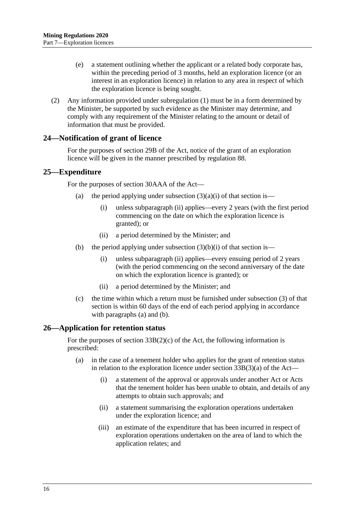- (e) a statement outlining whether the applicant or a related body corporate has, within the preceding period of 3 months, held an exploration licence (or an interest in an exploration licence) in relation to any area in respect of which the exploration licence is being sought.
- (2) Any information provided under [subregulation](#page-14-3) (1) must be in a form determined by the Minister, be supported by such evidence as the Minister may determine, and comply with any requirement of the Minister relating to the amount or detail of information that must be provided.

#### <span id="page-15-0"></span>**24—Notification of grant of licence**

For the purposes of section 29B of the Act, notice of the grant of an exploration licence will be given in the manner prescribed by [regulation](#page-50-0) 88.

#### <span id="page-15-5"></span><span id="page-15-1"></span>**25—Expenditure**

For the purposes of section 30AAA of the Act—

- (a) the period applying under subsection  $(3)(a)(i)$  of that section is—
	- (i) unless [subparagraph](#page-15-3) (ii) applies—every 2 years (with the first period commencing on the date on which the exploration licence is granted); or
	- (ii) a period determined by the Minister; and
- <span id="page-15-6"></span><span id="page-15-3"></span>(b) the period applying under subsection  $(3)(b)(i)$  of that section is—
	- (i) unless [subparagraph](#page-15-4) (ii) applies—every ensuing period of 2 years (with the period commencing on the second anniversary of the date on which the exploration licence is granted); or
	- (ii) a period determined by the Minister; and
- <span id="page-15-4"></span>(c) the time within which a return must be furnished under subsection (3) of that section is within 60 days of the end of each period applying in accordance with [paragraphs](#page-15-5) (a) and [\(b\).](#page-15-6)

#### <span id="page-15-2"></span>**26—Application for retention status**

For the purposes of section  $33B(2)(c)$  of the Act, the following information is prescribed:

- (a) in the case of a tenement holder who applies for the grant of retention status in relation to the exploration licence under section  $33B(3)(a)$  of the Act—
	- (i) a statement of the approval or approvals under another Act or Acts that the tenement holder has been unable to obtain, and details of any attempts to obtain such approvals; and
	- (ii) a statement summarising the exploration operations undertaken under the exploration licence; and
	- (iii) an estimate of the expenditure that has been incurred in respect of exploration operations undertaken on the area of land to which the application relates; and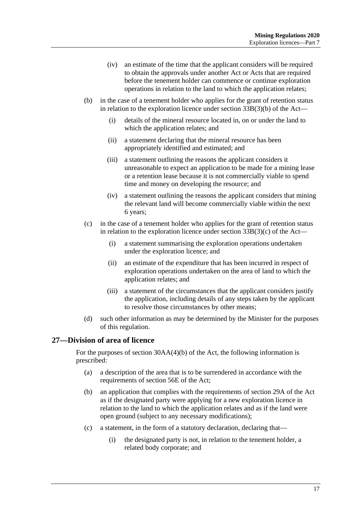- (iv) an estimate of the time that the applicant considers will be required to obtain the approvals under another Act or Acts that are required before the tenement holder can commence or continue exploration operations in relation to the land to which the application relates;
- (b) in the case of a tenement holder who applies for the grant of retention status in relation to the exploration licence under section 33B(3)(b) of the Act—
	- (i) details of the mineral resource located in, on or under the land to which the application relates; and
	- (ii) a statement declaring that the mineral resource has been appropriately identified and estimated; and
	- (iii) a statement outlining the reasons the applicant considers it unreasonable to expect an application to be made for a mining lease or a retention lease because it is not commercially viable to spend time and money on developing the resource; and
	- (iv) a statement outlining the reasons the applicant considers that mining the relevant land will become commercially viable within the next 6 years;
- (c) in the case of a tenement holder who applies for the grant of retention status in relation to the exploration licence under section  $33B(3)(c)$  of the Act-
	- (i) a statement summarising the exploration operations undertaken under the exploration licence; and
	- (ii) an estimate of the expenditure that has been incurred in respect of exploration operations undertaken on the area of land to which the application relates; and
	- (iii) a statement of the circumstances that the applicant considers justify the application, including details of any steps taken by the applicant to resolve those circumstances by other means;
- (d) such other information as may be determined by the Minister for the purposes of this regulation.

## <span id="page-16-0"></span>**27—Division of area of licence**

For the purposes of section 30AA(4)(b) of the Act, the following information is prescribed:

- (a) a description of the area that is to be surrendered in accordance with the requirements of section 56E of the Act;
- (b) an application that complies with the requirements of section 29A of the Act as if the designated party were applying for a new exploration licence in relation to the land to which the application relates and as if the land were open ground (subject to any necessary modifications);
- (c) a statement, in the form of a statutory declaration, declaring that—
	- (i) the designated party is not, in relation to the tenement holder, a related body corporate; and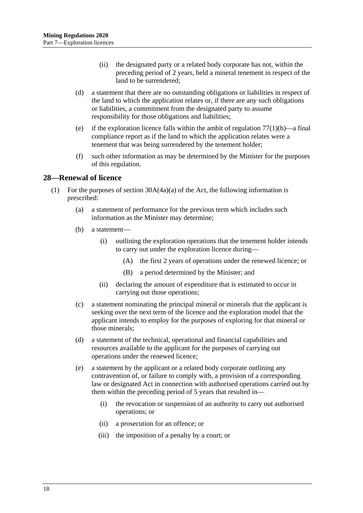- (ii) the designated party or a related body corporate has not, within the preceding period of 2 years, held a mineral tenement in respect of the land to be surrendered;
- (d) a statement that there are no outstanding obligations or liabilities in respect of the land to which the application relates or, if there are any such obligations or liabilities, a commitment from the designated party to assume responsibility for those obligations and liabilities;
- (e) if the exploration licence falls within the ambit of [regulation](#page-42-3)  $77(1)(b)$ —a final compliance report as if the land to which the application relates were a tenement that was being surrendered by the tenement holder;
- (f) such other information as may be determined by the Minister for the purposes of this regulation.

#### <span id="page-17-1"></span><span id="page-17-0"></span>**28—Renewal of licence**

- (1) For the purposes of section  $30A(4a)(a)$  of the Act, the following information is prescribed:
	- (a) a statement of performance for the previous term which includes such information as the Minister may determine;
	- (b) a statement—
		- (i) outlining the exploration operations that the tenement holder intends to carry out under the exploration licence during—
			- (A) the first 2 years of operations under the renewed licence; or
			- (B) a period determined by the Minister; and
		- (ii) declaring the amount of expenditure that is estimated to occur in carrying out those operations;
	- (c) a statement nominating the principal mineral or minerals that the applicant is seeking over the next term of the licence and the exploration model that the applicant intends to employ for the purposes of exploring for that mineral or those minerals;
	- (d) a statement of the technical, operational and financial capabilities and resources available to the applicant for the purposes of carrying out operations under the renewed licence;
	- (e) a statement by the applicant or a related body corporate outlining any contravention of, or failure to comply with, a provision of a corresponding law or designated Act in connection with authorised operations carried out by them within the preceding period of 5 years that resulted in—
		- (i) the revocation or suspension of an authority to carry out authorised operations; or
		- (ii) a prosecution for an offence; or
		- (iii) the imposition of a penalty by a court; or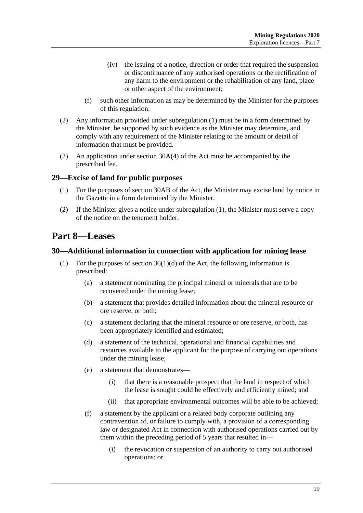- (iv) the issuing of a notice, direction or order that required the suspension or discontinuance of any authorised operations or the rectification of any harm to the environment or the rehabilitation of any land, place or other aspect of the environment;
- (f) such other information as may be determined by the Minister for the purposes of this regulation.
- (2) Any information provided under [subregulation](#page-17-1) (1) must be in a form determined by the Minister, be supported by such evidence as the Minister may determine, and comply with any requirement of the Minister relating to the amount or detail of information that must be provided.
- (3) An application under section 30A(4) of the Act must be accompanied by the prescribed fee.

## <span id="page-18-3"></span><span id="page-18-0"></span>**29—Excise of land for public purposes**

- (1) For the purposes of section 30AB of the Act, the Minister may excise land by notice in the Gazette in a form determined by the Minister.
- (2) If the Minister gives a notice under [subregulation](#page-18-3) (1), the Minister must serve a copy of the notice on the tenement holder.

## <span id="page-18-1"></span>**Part 8—Leases**

#### <span id="page-18-4"></span><span id="page-18-2"></span>**30—Additional information in connection with application for mining lease**

- (1) For the purposes of section  $36(1)(d)$  of the Act, the following information is prescribed:
	- (a) a statement nominating the principal mineral or minerals that are to be recovered under the mining lease;
	- (b) a statement that provides detailed information about the mineral resource or ore reserve, or both;
	- (c) a statement declaring that the mineral resource or ore reserve, or both, has been appropriately identified and estimated;
	- (d) a statement of the technical, operational and financial capabilities and resources available to the applicant for the purpose of carrying out operations under the mining lease;
	- (e) a statement that demonstrates—
		- (i) that there is a reasonable prospect that the land in respect of which the lease is sought could be effectively and efficiently mined; and
		- (ii) that appropriate environmental outcomes will be able to be achieved;
	- (f) a statement by the applicant or a related body corporate outlining any contravention of, or failure to comply with, a provision of a corresponding law or designated Act in connection with authorised operations carried out by them within the preceding period of 5 years that resulted in—
		- (i) the revocation or suspension of an authority to carry out authorised operations; or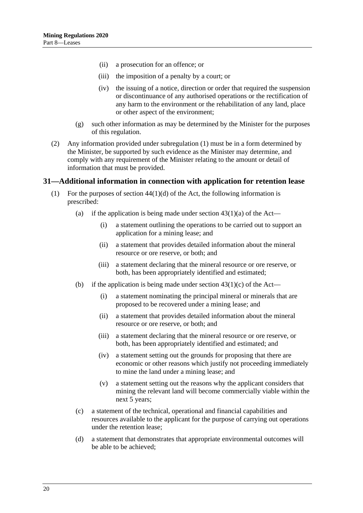- (ii) a prosecution for an offence; or
- (iii) the imposition of a penalty by a court; or
- (iv) the issuing of a notice, direction or order that required the suspension or discontinuance of any authorised operations or the rectification of any harm to the environment or the rehabilitation of any land, place or other aspect of the environment;
- (g) such other information as may be determined by the Minister for the purposes of this regulation.
- (2) Any information provided under [subregulation](#page-18-4) (1) must be in a form determined by the Minister, be supported by such evidence as the Minister may determine, and comply with any requirement of the Minister relating to the amount or detail of information that must be provided.

#### <span id="page-19-1"></span><span id="page-19-0"></span>**31—Additional information in connection with application for retention lease**

- (1) For the purposes of section  $44(1)(d)$  of the Act, the following information is prescribed:
	- (a) if the application is being made under section  $43(1)(a)$  of the Act—
		- (i) a statement outlining the operations to be carried out to support an application for a mining lease; and
		- (ii) a statement that provides detailed information about the mineral resource or ore reserve, or both; and
		- (iii) a statement declaring that the mineral resource or ore reserve, or both, has been appropriately identified and estimated;
	- (b) if the application is being made under section  $43(1)(c)$  of the Act—
		- (i) a statement nominating the principal mineral or minerals that are proposed to be recovered under a mining lease; and
		- (ii) a statement that provides detailed information about the mineral resource or ore reserve, or both; and
		- (iii) a statement declaring that the mineral resource or ore reserve, or both, has been appropriately identified and estimated; and
		- (iv) a statement setting out the grounds for proposing that there are economic or other reasons which justify not proceeding immediately to mine the land under a mining lease; and
		- (v) a statement setting out the reasons why the applicant considers that mining the relevant land will become commercially viable within the next 5 years;
	- (c) a statement of the technical, operational and financial capabilities and resources available to the applicant for the purpose of carrying out operations under the retention lease;
	- (d) a statement that demonstrates that appropriate environmental outcomes will be able to be achieved;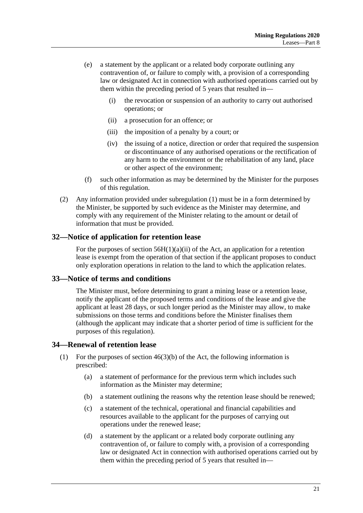- (e) a statement by the applicant or a related body corporate outlining any contravention of, or failure to comply with, a provision of a corresponding law or designated Act in connection with authorised operations carried out by them within the preceding period of 5 years that resulted in—
	- (i) the revocation or suspension of an authority to carry out authorised operations; or
	- (ii) a prosecution for an offence; or
	- (iii) the imposition of a penalty by a court; or
	- (iv) the issuing of a notice, direction or order that required the suspension or discontinuance of any authorised operations or the rectification of any harm to the environment or the rehabilitation of any land, place or other aspect of the environment;
- (f) such other information as may be determined by the Minister for the purposes of this regulation.
- (2) Any information provided under [subregulation](#page-19-1) (1) must be in a form determined by the Minister, be supported by such evidence as the Minister may determine, and comply with any requirement of the Minister relating to the amount or detail of information that must be provided.

#### <span id="page-20-0"></span>**32—Notice of application for retention lease**

For the purposes of section  $56H(1)(a)(ii)$  of the Act, an application for a retention lease is exempt from the operation of that section if the applicant proposes to conduct only exploration operations in relation to the land to which the application relates.

#### <span id="page-20-1"></span>**33—Notice of terms and conditions**

The Minister must, before determining to grant a mining lease or a retention lease, notify the applicant of the proposed terms and conditions of the lease and give the applicant at least 28 days, or such longer period as the Minister may allow, to make submissions on those terms and conditions before the Minister finalises them (although the applicant may indicate that a shorter period of time is sufficient for the purposes of this regulation).

## <span id="page-20-3"></span><span id="page-20-2"></span>**34—Renewal of retention lease**

- (1) For the purposes of section  $46(3)(b)$  of the Act, the following information is prescribed:
	- (a) a statement of performance for the previous term which includes such information as the Minister may determine;
	- (b) a statement outlining the reasons why the retention lease should be renewed;
	- (c) a statement of the technical, operational and financial capabilities and resources available to the applicant for the purposes of carrying out operations under the renewed lease;
	- (d) a statement by the applicant or a related body corporate outlining any contravention of, or failure to comply with, a provision of a corresponding law or designated Act in connection with authorised operations carried out by them within the preceding period of 5 years that resulted in—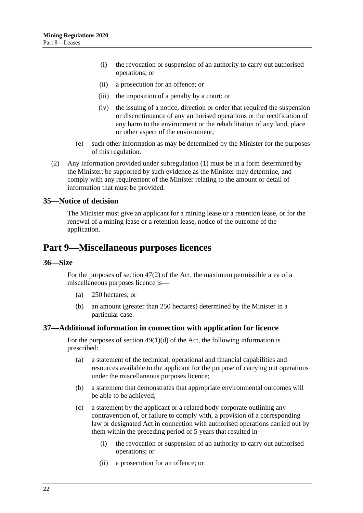- (i) the revocation or suspension of an authority to carry out authorised operations; or
- (ii) a prosecution for an offence; or
- (iii) the imposition of a penalty by a court; or
- (iv) the issuing of a notice, direction or order that required the suspension or discontinuance of any authorised operations or the rectification of any harm to the environment or the rehabilitation of any land, place or other aspect of the environment;
- (e) such other information as may be determined by the Minister for the purposes of this regulation.
- (2) Any information provided under [subregulation](#page-20-3) (1) must be in a form determined by the Minister, be supported by such evidence as the Minister may determine, and comply with any requirement of the Minister relating to the amount or detail of information that must be provided.

#### <span id="page-21-0"></span>**35—Notice of decision**

The Minister must give an applicant for a mining lease or a retention lease, or for the renewal of a mining lease or a retention lease, notice of the outcome of the application.

## <span id="page-21-1"></span>**Part 9—Miscellaneous purposes licences**

#### <span id="page-21-2"></span>**36—Size**

For the purposes of section 47(2) of the Act, the maximum permissible area of a miscellaneous purposes licence is—

- (a) 250 hectares; or
- (b) an amount (greater than 250 hectares) determined by the Minister in a particular case.

#### <span id="page-21-3"></span>**37—Additional information in connection with application for licence**

For the purposes of section  $49(1)(d)$  of the Act, the following information is prescribed:

- (a) a statement of the technical, operational and financial capabilities and resources available to the applicant for the purpose of carrying out operations under the miscellaneous purposes licence;
- (b) a statement that demonstrates that appropriate environmental outcomes will be able to be achieved;
- (c) a statement by the applicant or a related body corporate outlining any contravention of, or failure to comply with, a provision of a corresponding law or designated Act in connection with authorised operations carried out by them within the preceding period of 5 years that resulted in—
	- (i) the revocation or suspension of an authority to carry out authorised operations; or
	- (ii) a prosecution for an offence; or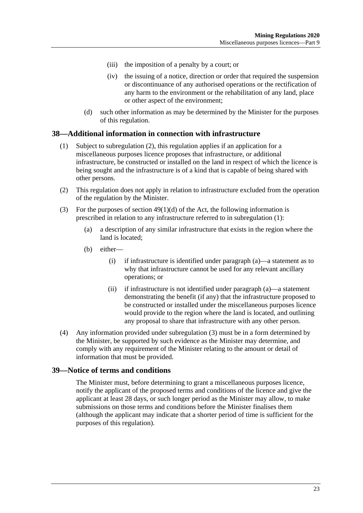- (iii) the imposition of a penalty by a court; or
- (iv) the issuing of a notice, direction or order that required the suspension or discontinuance of any authorised operations or the rectification of any harm to the environment or the rehabilitation of any land, place or other aspect of the environment;
- (d) such other information as may be determined by the Minister for the purposes of this regulation.

#### <span id="page-22-3"></span><span id="page-22-0"></span>**38—Additional information in connection with infrastructure**

- (1) Subject to [subregulation](#page-22-2) (2), this regulation applies if an application for a miscellaneous purposes licence proposes that infrastructure, or additional infrastructure, be constructed or installed on the land in respect of which the licence is being sought and the infrastructure is of a kind that is capable of being shared with other persons.
- <span id="page-22-2"></span>(2) This regulation does not apply in relation to infrastructure excluded from the operation of the regulation by the Minister.
- <span id="page-22-5"></span><span id="page-22-4"></span>(3) For the purposes of section  $49(1)(d)$  of the Act, the following information is prescribed in relation to any infrastructure referred to in [subregulation](#page-22-3) (1):
	- (a) a description of any similar infrastructure that exists in the region where the land is located;
	- (b) either—
		- (i) if infrastructure is identified under [paragraph](#page-22-4) (a)—a statement as to why that infrastructure cannot be used for any relevant ancillary operations; or
		- (ii) if infrastructure is not identified under [paragraph](#page-22-4) (a)—a statement demonstrating the benefit (if any) that the infrastructure proposed to be constructed or installed under the miscellaneous purposes licence would provide to the region where the land is located, and outlining any proposal to share that infrastructure with any other person.
- (4) Any information provided under [subregulation](#page-22-5) (3) must be in a form determined by the Minister, be supported by such evidence as the Minister may determine, and comply with any requirement of the Minister relating to the amount or detail of information that must be provided.

## <span id="page-22-1"></span>**39—Notice of terms and conditions**

The Minister must, before determining to grant a miscellaneous purposes licence, notify the applicant of the proposed terms and conditions of the licence and give the applicant at least 28 days, or such longer period as the Minister may allow, to make submissions on those terms and conditions before the Minister finalises them (although the applicant may indicate that a shorter period of time is sufficient for the purposes of this regulation).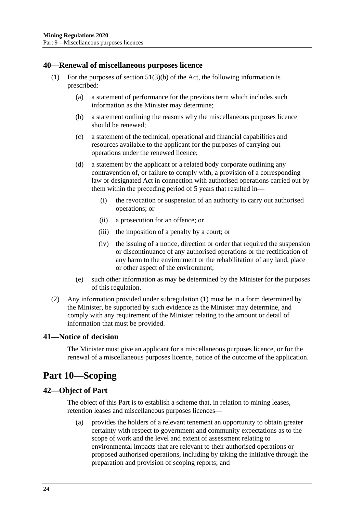#### <span id="page-23-4"></span><span id="page-23-0"></span>**40—Renewal of miscellaneous purposes licence**

- (1) For the purposes of section  $51(3)(b)$  of the Act, the following information is prescribed:
	- (a) a statement of performance for the previous term which includes such information as the Minister may determine;
	- (b) a statement outlining the reasons why the miscellaneous purposes licence should be renewed;
	- (c) a statement of the technical, operational and financial capabilities and resources available to the applicant for the purposes of carrying out operations under the renewed licence;
	- (d) a statement by the applicant or a related body corporate outlining any contravention of, or failure to comply with, a provision of a corresponding law or designated Act in connection with authorised operations carried out by them within the preceding period of 5 years that resulted in—
		- (i) the revocation or suspension of an authority to carry out authorised operations; or
		- (ii) a prosecution for an offence; or
		- (iii) the imposition of a penalty by a court; or
		- (iv) the issuing of a notice, direction or order that required the suspension or discontinuance of any authorised operations or the rectification of any harm to the environment or the rehabilitation of any land, place or other aspect of the environment;
	- (e) such other information as may be determined by the Minister for the purposes of this regulation.
- (2) Any information provided under [subregulation](#page-23-4) (1) must be in a form determined by the Minister, be supported by such evidence as the Minister may determine, and comply with any requirement of the Minister relating to the amount or detail of information that must be provided.

#### <span id="page-23-1"></span>**41—Notice of decision**

The Minister must give an applicant for a miscellaneous purposes licence, or for the renewal of a miscellaneous purposes licence, notice of the outcome of the application.

## <span id="page-23-2"></span>**Part 10—Scoping**

#### <span id="page-23-3"></span>**42—Object of Part**

The object of this Part is to establish a scheme that, in relation to mining leases, retention leases and miscellaneous purposes licences—

(a) provides the holders of a relevant tenement an opportunity to obtain greater certainty with respect to government and community expectations as to the scope of work and the level and extent of assessment relating to environmental impacts that are relevant to their authorised operations or proposed authorised operations, including by taking the initiative through the preparation and provision of scoping reports; and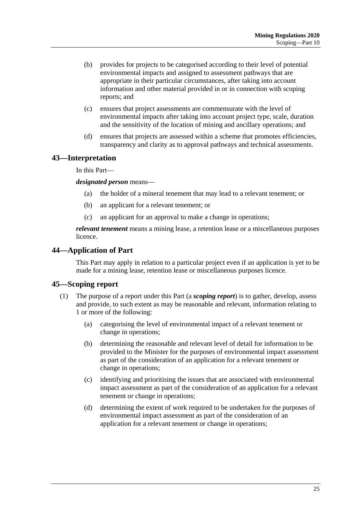- (b) provides for projects to be categorised according to their level of potential environmental impacts and assigned to assessment pathways that are appropriate in their particular circumstances, after taking into account information and other material provided in or in connection with scoping reports; and
- (c) ensures that project assessments are commensurate with the level of environmental impacts after taking into account project type, scale, duration and the sensitivity of the location of mining and ancillary operations; and
- (d) ensures that projects are assessed within a scheme that promotes efficiencies, transparency and clarity as to approval pathways and technical assessments.

#### <span id="page-24-0"></span>**43—Interpretation**

In this Part—

*designated person* means—

- (a) the holder of a mineral tenement that may lead to a relevant tenement; or
- (b) an applicant for a relevant tenement; or
- (c) an applicant for an approval to make a change in operations;

*relevant tenement* means a mining lease, a retention lease or a miscellaneous purposes licence.

#### <span id="page-24-1"></span>**44—Application of Part**

This Part may apply in relation to a particular project even if an application is yet to be made for a mining lease, retention lease or miscellaneous purposes licence.

#### <span id="page-24-2"></span>**45—Scoping report**

- (1) The purpose of a report under this Part (a *scoping report*) is to gather, develop, assess and provide, to such extent as may be reasonable and relevant, information relating to 1 or more of the following:
	- (a) categorising the level of environmental impact of a relevant tenement or change in operations;
	- (b) determining the reasonable and relevant level of detail for information to be provided to the Minister for the purposes of environmental impact assessment as part of the consideration of an application for a relevant tenement or change in operations;
	- (c) identifying and prioritising the issues that are associated with environmental impact assessment as part of the consideration of an application for a relevant tenement or change in operations;
	- (d) determining the extent of work required to be undertaken for the purposes of environmental impact assessment as part of the consideration of an application for a relevant tenement or change in operations;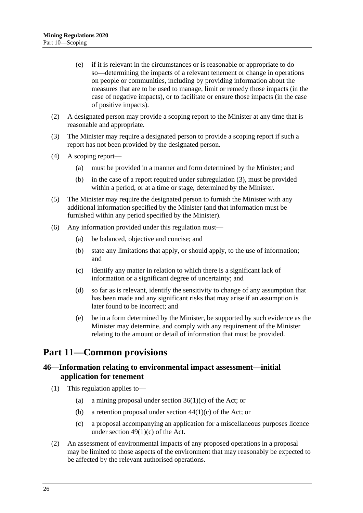- (e) if it is relevant in the circumstances or is reasonable or appropriate to do so—determining the impacts of a relevant tenement or change in operations on people or communities, including by providing information about the measures that are to be used to manage, limit or remedy those impacts (in the case of negative impacts), or to facilitate or ensure those impacts (in the case of positive impacts).
- (2) A designated person may provide a scoping report to the Minister at any time that is reasonable and appropriate.
- <span id="page-25-2"></span>(3) The Minister may require a designated person to provide a scoping report if such a report has not been provided by the designated person.
- (4) A scoping report—
	- (a) must be provided in a manner and form determined by the Minister; and
	- (b) in the case of a report required under [subregulation](#page-25-2) (3), must be provided within a period, or at a time or stage, determined by the Minister.
- (5) The Minister may require the designated person to furnish the Minister with any additional information specified by the Minister (and that information must be furnished within any period specified by the Minister).
- (6) Any information provided under this regulation must—
	- (a) be balanced, objective and concise; and
	- (b) state any limitations that apply, or should apply, to the use of information; and
	- (c) identify any matter in relation to which there is a significant lack of information or a significant degree of uncertainty; and
	- (d) so far as is relevant, identify the sensitivity to change of any assumption that has been made and any significant risks that may arise if an assumption is later found to be incorrect; and
	- (e) be in a form determined by the Minister, be supported by such evidence as the Minister may determine, and comply with any requirement of the Minister relating to the amount or detail of information that must be provided.

## <span id="page-25-0"></span>**Part 11—Common provisions**

## <span id="page-25-1"></span>**46—Information relating to environmental impact assessment—initial application for tenement**

- (1) This regulation applies to—
	- (a) a mining proposal under section 36(1)(c) of the Act; or
	- (b) a retention proposal under section  $44(1)(c)$  of the Act; or
	- (c) a proposal accompanying an application for a miscellaneous purposes licence under section  $49(1)(c)$  of the Act.
- <span id="page-25-3"></span>(2) An assessment of environmental impacts of any proposed operations in a proposal may be limited to those aspects of the environment that may reasonably be expected to be affected by the relevant authorised operations.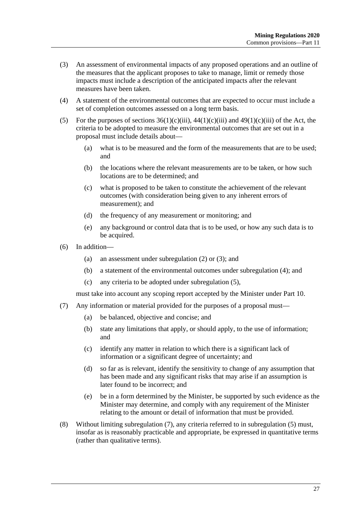- <span id="page-26-0"></span>(3) An assessment of environmental impacts of any proposed operations and an outline of the measures that the applicant proposes to take to manage, limit or remedy those impacts must include a description of the anticipated impacts after the relevant measures have been taken.
- <span id="page-26-1"></span>(4) A statement of the environmental outcomes that are expected to occur must include a set of completion outcomes assessed on a long term basis.
- <span id="page-26-2"></span>(5) For the purposes of sections  $36(1)(c)(iii)$ ,  $44(1)(c)(iii)$  and  $49(1)(c)(iii)$  of the Act, the criteria to be adopted to measure the environmental outcomes that are set out in a proposal must include details about—
	- (a) what is to be measured and the form of the measurements that are to be used; and
	- (b) the locations where the relevant measurements are to be taken, or how such locations are to be determined; and
	- (c) what is proposed to be taken to constitute the achievement of the relevant outcomes (with consideration being given to any inherent errors of measurement); and
	- (d) the frequency of any measurement or monitoring; and
	- (e) any background or control data that is to be used, or how any such data is to be acquired.
- (6) In addition—
	- (a) an assessment under [subregulation](#page-25-3) (2) or [\(3\);](#page-26-0) and
	- (b) a statement of the environmental outcomes under [subregulation](#page-26-1) (4); and
	- (c) any criteria to be adopted under [subregulation](#page-26-2) (5),

must take into account any scoping report accepted by the Minister under [Part](#page-23-2) 10.

- <span id="page-26-3"></span>(7) Any information or material provided for the purposes of a proposal must—
	- (a) be balanced, objective and concise; and
	- (b) state any limitations that apply, or should apply, to the use of information; and
	- (c) identify any matter in relation to which there is a significant lack of information or a significant degree of uncertainty; and
	- (d) so far as is relevant, identify the sensitivity to change of any assumption that has been made and any significant risks that may arise if an assumption is later found to be incorrect; and
	- (e) be in a form determined by the Minister, be supported by such evidence as the Minister may determine, and comply with any requirement of the Minister relating to the amount or detail of information that must be provided.
- (8) Without limiting [subregulation](#page-26-3) (7), any criteria referred to in [subregulation](#page-26-2) (5) must, insofar as is reasonably practicable and appropriate, be expressed in quantitative terms (rather than qualitative terms).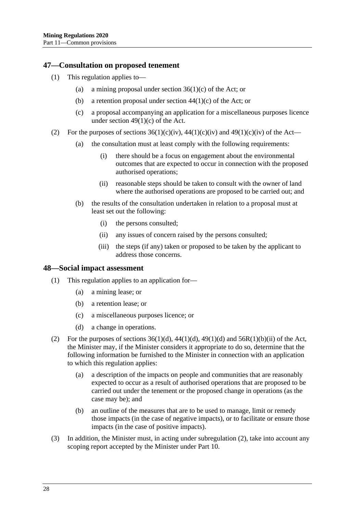#### <span id="page-27-0"></span>**47—Consultation on proposed tenement**

- (1) This regulation applies to—
	- (a) a mining proposal under section  $36(1)(c)$  of the Act; or
	- (b) a retention proposal under section  $44(1)(c)$  of the Act; or
	- (c) a proposal accompanying an application for a miscellaneous purposes licence under section 49(1)(c) of the Act.
- (2) For the purposes of sections  $36(1)(c)(iv)$ ,  $44(1)(c)(iv)$  and  $49(1)(c)(iv)$  of the Act—
	- (a) the consultation must at least comply with the following requirements:
		- (i) there should be a focus on engagement about the environmental outcomes that are expected to occur in connection with the proposed authorised operations;
		- (ii) reasonable steps should be taken to consult with the owner of land where the authorised operations are proposed to be carried out; and
	- (b) the results of the consultation undertaken in relation to a proposal must at least set out the following:
		- (i) the persons consulted;
		- (ii) any issues of concern raised by the persons consulted;
		- (iii) the steps (if any) taken or proposed to be taken by the applicant to address those concerns.

#### <span id="page-27-1"></span>**48—Social impact assessment**

- (1) This regulation applies to an application for—
	- (a) a mining lease; or
	- (b) a retention lease; or
	- (c) a miscellaneous purposes licence; or
	- (d) a change in operations.
- <span id="page-27-2"></span>(2) For the purposes of sections  $36(1)(d)$ ,  $44(1)(d)$ ,  $49(1)(d)$  and  $56R(1)(b)(ii)$  of the Act, the Minister may, if the Minister considers it appropriate to do so, determine that the following information be furnished to the Minister in connection with an application to which this regulation applies:
	- (a) a description of the impacts on people and communities that are reasonably expected to occur as a result of authorised operations that are proposed to be carried out under the tenement or the proposed change in operations (as the case may be); and
	- (b) an outline of the measures that are to be used to manage, limit or remedy those impacts (in the case of negative impacts), or to facilitate or ensure those impacts (in the case of positive impacts).
- (3) In addition, the Minister must, in acting under [subregulation](#page-27-2) (2), take into account any scoping report accepted by the Minister under [Part](#page-23-2) 10.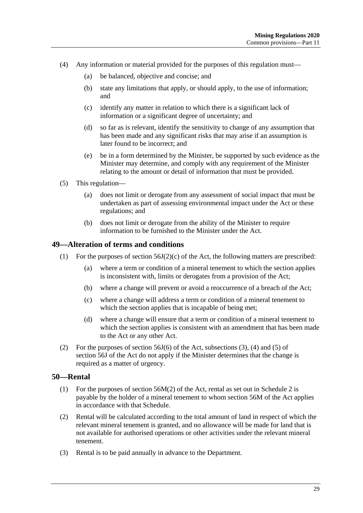- (4) Any information or material provided for the purposes of this regulation must—
	- (a) be balanced, objective and concise; and
	- (b) state any limitations that apply, or should apply, to the use of information; and
	- (c) identify any matter in relation to which there is a significant lack of information or a significant degree of uncertainty; and
	- (d) so far as is relevant, identify the sensitivity to change of any assumption that has been made and any significant risks that may arise if an assumption is later found to be incorrect; and
	- (e) be in a form determined by the Minister, be supported by such evidence as the Minister may determine, and comply with any requirement of the Minister relating to the amount or detail of information that must be provided.
- (5) This regulation—
	- (a) does not limit or derogate from any assessment of social impact that must be undertaken as part of assessing environmental impact under the Act or these regulations; and
	- (b) does not limit or derogate from the ability of the Minister to require information to be furnished to the Minister under the Act.

#### <span id="page-28-0"></span>**49—Alteration of terms and conditions**

- (1) For the purposes of section 56J(2)(c) of the Act, the following matters are prescribed:
	- (a) where a term or condition of a mineral tenement to which the section applies is inconsistent with, limits or derogates from a provision of the Act;
	- (b) where a change will prevent or avoid a reoccurrence of a breach of the Act;
	- (c) where a change will address a term or condition of a mineral tenement to which the section applies that is incapable of being met;
	- (d) where a change will ensure that a term or condition of a mineral tenement to which the section applies is consistent with an amendment that has been made to the Act or any other Act.
- (2) For the purposes of section 56J(6) of the Act, subsections (3), (4) and (5) of section 56J of the Act do not apply if the Minister determines that the change is required as a matter of urgency.

#### <span id="page-28-1"></span>**50—Rental**

- (1) For the purposes of section 56M(2) of the Act, rental as set out in [Schedule](#page-52-0) 2 is payable by the holder of a mineral tenement to whom section 56M of the Act applies in accordance with that Schedule.
- (2) Rental will be calculated according to the total amount of land in respect of which the relevant mineral tenement is granted, and no allowance will be made for land that is not available for authorised operations or other activities under the relevant mineral tenement.
- (3) Rental is to be paid annually in advance to the Department.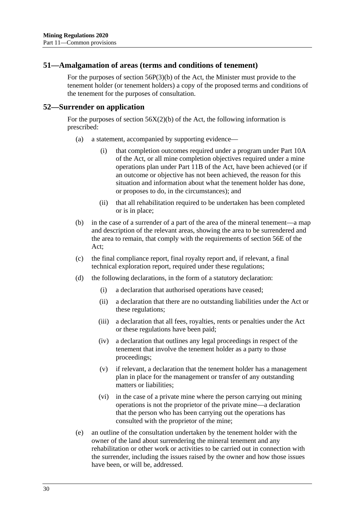#### <span id="page-29-0"></span>**51—Amalgamation of areas (terms and conditions of tenement)**

For the purposes of section 56P(3)(b) of the Act, the Minister must provide to the tenement holder (or tenement holders) a copy of the proposed terms and conditions of the tenement for the purposes of consultation.

#### <span id="page-29-1"></span>**52—Surrender on application**

For the purposes of section  $56X(2)(b)$  of the Act, the following information is prescribed:

- (a) a statement, accompanied by supporting evidence—
	- (i) that completion outcomes required under a program under Part 10A of the Act, or all mine completion objectives required under a mine operations plan under Part 11B of the Act, have been achieved (or if an outcome or objective has not been achieved, the reason for this situation and information about what the tenement holder has done, or proposes to do, in the circumstances); and
	- (ii) that all rehabilitation required to be undertaken has been completed or is in place;
- (b) in the case of a surrender of a part of the area of the mineral tenement—a map and description of the relevant areas, showing the area to be surrendered and the area to remain, that comply with the requirements of section 56E of the Act;
- (c) the final compliance report, final royalty report and, if relevant, a final technical exploration report, required under these regulations;
- (d) the following declarations, in the form of a statutory declaration:
	- (i) a declaration that authorised operations have ceased;
	- (ii) a declaration that there are no outstanding liabilities under the Act or these regulations;
	- (iii) a declaration that all fees, royalties, rents or penalties under the Act or these regulations have been paid;
	- (iv) a declaration that outlines any legal proceedings in respect of the tenement that involve the tenement holder as a party to those proceedings;
	- (v) if relevant, a declaration that the tenement holder has a management plan in place for the management or transfer of any outstanding matters or liabilities;
	- (vi) in the case of a private mine where the person carrying out mining operations is not the proprietor of the private mine—a declaration that the person who has been carrying out the operations has consulted with the proprietor of the mine;
- (e) an outline of the consultation undertaken by the tenement holder with the owner of the land about surrendering the mineral tenement and any rehabilitation or other work or activities to be carried out in connection with the surrender, including the issues raised by the owner and how those issues have been, or will be, addressed.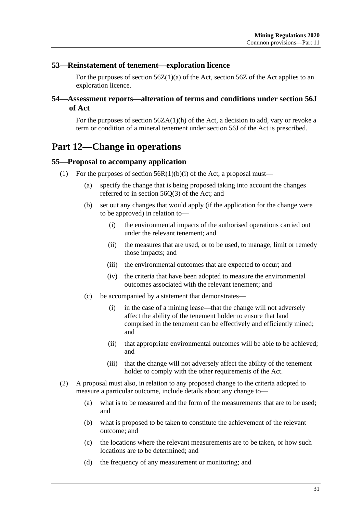#### <span id="page-30-0"></span>**53—Reinstatement of tenement—exploration licence**

For the purposes of section  $56Z(1)(a)$  of the Act, section  $56Z$  of the Act applies to an exploration licence.

## <span id="page-30-1"></span>**54—Assessment reports—alteration of terms and conditions under section 56J of Act**

For the purposes of section  $56ZA(1)(h)$  of the Act, a decision to add, vary or revoke a term or condition of a mineral tenement under section 56J of the Act is prescribed.

## <span id="page-30-2"></span>**Part 12—Change in operations**

#### <span id="page-30-3"></span>**55—Proposal to accompany application**

- (1) For the purposes of section  $56R(1)(b)(i)$  of the Act, a proposal must—
	- (a) specify the change that is being proposed taking into account the changes referred to in section 56Q(3) of the Act; and
	- (b) set out any changes that would apply (if the application for the change were to be approved) in relation to—
		- (i) the environmental impacts of the authorised operations carried out under the relevant tenement; and
		- (ii) the measures that are used, or to be used, to manage, limit or remedy those impacts; and
		- (iii) the environmental outcomes that are expected to occur; and
		- (iv) the criteria that have been adopted to measure the environmental outcomes associated with the relevant tenement; and
	- (c) be accompanied by a statement that demonstrates—
		- (i) in the case of a mining lease—that the change will not adversely affect the ability of the tenement holder to ensure that land comprised in the tenement can be effectively and efficiently mined; and
		- (ii) that appropriate environmental outcomes will be able to be achieved; and
		- (iii) that the change will not adversely affect the ability of the tenement holder to comply with the other requirements of the Act.
- (2) A proposal must also, in relation to any proposed change to the criteria adopted to measure a particular outcome, include details about any change to—
	- (a) what is to be measured and the form of the measurements that are to be used; and
	- (b) what is proposed to be taken to constitute the achievement of the relevant outcome; and
	- (c) the locations where the relevant measurements are to be taken, or how such locations are to be determined; and
	- (d) the frequency of any measurement or monitoring; and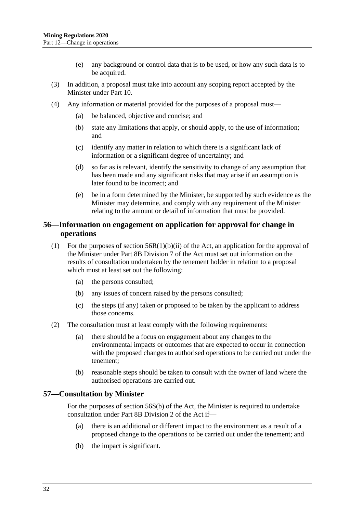- (e) any background or control data that is to be used, or how any such data is to be acquired.
- (3) In addition, a proposal must take into account any scoping report accepted by the Minister under [Part](#page-23-2) 10.
- (4) Any information or material provided for the purposes of a proposal must—
	- (a) be balanced, objective and concise; and
	- (b) state any limitations that apply, or should apply, to the use of information; and
	- (c) identify any matter in relation to which there is a significant lack of information or a significant degree of uncertainty; and
	- (d) so far as is relevant, identify the sensitivity to change of any assumption that has been made and any significant risks that may arise if an assumption is later found to be incorrect; and
	- (e) be in a form determined by the Minister, be supported by such evidence as the Minister may determine, and comply with any requirement of the Minister relating to the amount or detail of information that must be provided.

## <span id="page-31-0"></span>**56—Information on engagement on application for approval for change in operations**

- (1) For the purposes of section 56R(1)(b)(ii) of the Act, an application for the approval of the Minister under Part 8B Division 7 of the Act must set out information on the results of consultation undertaken by the tenement holder in relation to a proposal which must at least set out the following:
	- (a) the persons consulted;
	- (b) any issues of concern raised by the persons consulted;
	- (c) the steps (if any) taken or proposed to be taken by the applicant to address those concerns.
- (2) The consultation must at least comply with the following requirements:
	- (a) there should be a focus on engagement about any changes to the environmental impacts or outcomes that are expected to occur in connection with the proposed changes to authorised operations to be carried out under the tenement;
	- (b) reasonable steps should be taken to consult with the owner of land where the authorised operations are carried out.

## <span id="page-31-1"></span>**57—Consultation by Minister**

For the purposes of section 56S(b) of the Act, the Minister is required to undertake consultation under Part 8B Division 2 of the Act if—

- (a) there is an additional or different impact to the environment as a result of a proposed change to the operations to be carried out under the tenement; and
- (b) the impact is significant.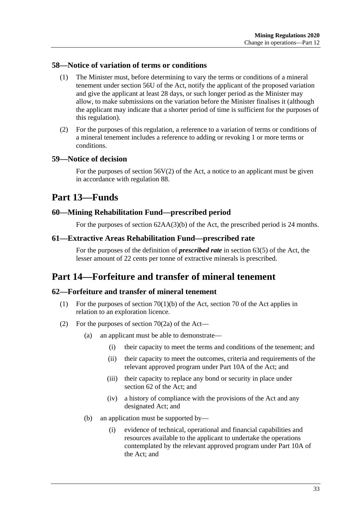## <span id="page-32-0"></span>**58—Notice of variation of terms or conditions**

- (1) The Minister must, before determining to vary the terms or conditions of a mineral tenement under section 56U of the Act, notify the applicant of the proposed variation and give the applicant at least 28 days, or such longer period as the Minister may allow, to make submissions on the variation before the Minister finalises it (although the applicant may indicate that a shorter period of time is sufficient for the purposes of this regulation).
- (2) For the purposes of this regulation, a reference to a variation of terms or conditions of a mineral tenement includes a reference to adding or revoking 1 or more terms or conditions.

## <span id="page-32-1"></span>**59—Notice of decision**

For the purposes of section  $56V(2)$  of the Act, a notice to an applicant must be given in accordance with [regulation](#page-50-0) 88.

## <span id="page-32-2"></span>**Part 13—Funds**

## <span id="page-32-3"></span>**60—Mining Rehabilitation Fund—prescribed period**

For the purposes of section 62AA(3)(b) of the Act, the prescribed period is 24 months.

## <span id="page-32-4"></span>**61—Extractive Areas Rehabilitation Fund—prescribed rate**

For the purposes of the definition of *prescribed rate* in section 63(5) of the Act, the lesser amount of 22 cents per tonne of extractive minerals is prescribed.

## <span id="page-32-5"></span>**Part 14—Forfeiture and transfer of mineral tenement**

## <span id="page-32-6"></span>**62—Forfeiture and transfer of mineral tenement**

- (1) For the purposes of section  $70(1)(b)$  of the Act, section 70 of the Act applies in relation to an exploration licence.
- (2) For the purposes of section  $70(2a)$  of the Act—
	- (a) an applicant must be able to demonstrate—
		- (i) their capacity to meet the terms and conditions of the tenement; and
		- (ii) their capacity to meet the outcomes, criteria and requirements of the relevant approved program under Part 10A of the Act; and
		- (iii) their capacity to replace any bond or security in place under section 62 of the Act; and
		- (iv) a history of compliance with the provisions of the Act and any designated Act; and
	- (b) an application must be supported by—
		- (i) evidence of technical, operational and financial capabilities and resources available to the applicant to undertake the operations contemplated by the relevant approved program under Part 10A of the Act; and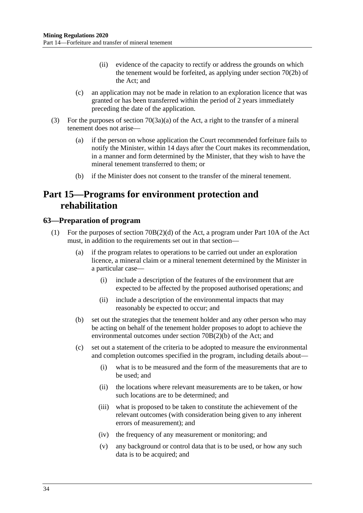- (ii) evidence of the capacity to rectify or address the grounds on which the tenement would be forfeited, as applying under section 70(2b) of the Act; and
- (c) an application may not be made in relation to an exploration licence that was granted or has been transferred within the period of 2 years immediately preceding the date of the application.
- (3) For the purposes of section 70(3a)(a) of the Act, a right to the transfer of a mineral tenement does not arise—
	- (a) if the person on whose application the Court recommended forfeiture fails to notify the Minister, within 14 days after the Court makes its recommendation, in a manner and form determined by the Minister, that they wish to have the mineral tenement transferred to them; or
	- (b) if the Minister does not consent to the transfer of the mineral tenement.

## <span id="page-33-0"></span>**Part 15—Programs for environment protection and rehabilitation**

## <span id="page-33-1"></span>**63—Preparation of program**

- <span id="page-33-3"></span><span id="page-33-2"></span>(1) For the purposes of section 70B(2)(d) of the Act, a program under Part 10A of the Act must, in addition to the requirements set out in that section—
	- (a) if the program relates to operations to be carried out under an exploration licence, a mineral claim or a mineral tenement determined by the Minister in a particular case—
		- (i) include a description of the features of the environment that are expected to be affected by the proposed authorised operations; and
		- (ii) include a description of the environmental impacts that may reasonably be expected to occur; and
	- (b) set out the strategies that the tenement holder and any other person who may be acting on behalf of the tenement holder proposes to adopt to achieve the environmental outcomes under section 70B(2)(b) of the Act; and
	- (c) set out a statement of the criteria to be adopted to measure the environmental and completion outcomes specified in the program, including details about—
		- (i) what is to be measured and the form of the measurements that are to be used; and
		- (ii) the locations where relevant measurements are to be taken, or how such locations are to be determined; and
		- (iii) what is proposed to be taken to constitute the achievement of the relevant outcomes (with consideration being given to any inherent errors of measurement); and
		- (iv) the frequency of any measurement or monitoring; and
		- (v) any background or control data that is to be used, or how any such data is to be acquired; and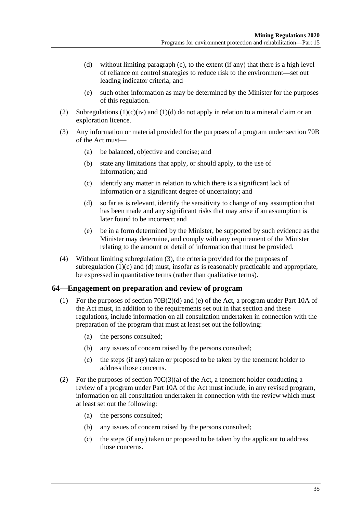- <span id="page-34-1"></span>(d) without limiting [paragraph](#page-33-2) (c), to the extent (if any) that there is a high level of reliance on control strategies to reduce risk to the environment—set out leading indicator criteria; and
- (e) such other information as may be determined by the Minister for the purposes of this regulation.
- (2) Subregulations  $(1)(c)(iv)$  and  $(1)(d)$  do not apply in relation to a mineral claim or an exploration licence.
- <span id="page-34-2"></span>(3) Any information or material provided for the purposes of a program under section 70B of the Act must—
	- (a) be balanced, objective and concise; and
	- (b) state any limitations that apply, or should apply, to the use of information; and
	- (c) identify any matter in relation to which there is a significant lack of information or a significant degree of uncertainty; and
	- (d) so far as is relevant, identify the sensitivity to change of any assumption that has been made and any significant risks that may arise if an assumption is later found to be incorrect; and
	- (e) be in a form determined by the Minister, be supported by such evidence as the Minister may determine, and comply with any requirement of the Minister relating to the amount or detail of information that must be provided.
- (4) Without limiting [subregulation](#page-34-2) (3), the criteria provided for the purposes of [subregulation](#page-33-2) (1)(c) and [\(d\)](#page-34-1) must, insofar as is reasonably practicable and appropriate, be expressed in quantitative terms (rather than qualitative terms).

## <span id="page-34-0"></span>**64—Engagement on preparation and review of program**

- (1) For the purposes of section 70B(2)(d) and (e) of the Act, a program under Part 10A of the Act must, in addition to the requirements set out in that section and these regulations, include information on all consultation undertaken in connection with the preparation of the program that must at least set out the following:
	- (a) the persons consulted;
	- (b) any issues of concern raised by the persons consulted;
	- (c) the steps (if any) taken or proposed to be taken by the tenement holder to address those concerns.
- (2) For the purposes of section  $70C(3)(a)$  of the Act, a tenement holder conducting a review of a program under Part 10A of the Act must include, in any revised program, information on all consultation undertaken in connection with the review which must at least set out the following:
	- (a) the persons consulted;
	- (b) any issues of concern raised by the persons consulted;
	- (c) the steps (if any) taken or proposed to be taken by the applicant to address those concerns.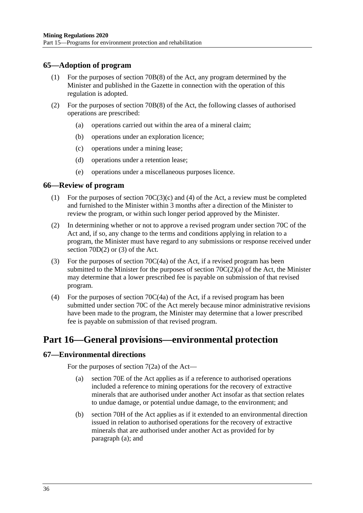## <span id="page-35-0"></span>**65—Adoption of program**

- (1) For the purposes of section 70B(8) of the Act, any program determined by the Minister and published in the Gazette in connection with the operation of this regulation is adopted.
- (2) For the purposes of section 70B(8) of the Act, the following classes of authorised operations are prescribed:
	- (a) operations carried out within the area of a mineral claim;
	- (b) operations under an exploration licence;
	- (c) operations under a mining lease;
	- (d) operations under a retention lease;
	- (e) operations under a miscellaneous purposes licence.

## <span id="page-35-1"></span>**66—Review of program**

- (1) For the purposes of section 70C(3)(c) and (4) of the Act, a review must be completed and furnished to the Minister within 3 months after a direction of the Minister to review the program, or within such longer period approved by the Minister.
- (2) In determining whether or not to approve a revised program under section 70C of the Act and, if so, any change to the terms and conditions applying in relation to a program, the Minister must have regard to any submissions or response received under section 70D(2) or (3) of the Act.
- (3) For the purposes of section 70C(4a) of the Act, if a revised program has been submitted to the Minister for the purposes of section 70C(2)(a) of the Act, the Minister may determine that a lower prescribed fee is payable on submission of that revised program.
- (4) For the purposes of section  $70C(4a)$  of the Act, if a revised program has been submitted under section 70C of the Act merely because minor administrative revisions have been made to the program, the Minister may determine that a lower prescribed fee is payable on submission of that revised program.

## <span id="page-35-2"></span>**Part 16—General provisions—environmental protection**

## <span id="page-35-4"></span><span id="page-35-3"></span>**67—Environmental directions**

For the purposes of section 7(2a) of the Act—

- (a) section 70E of the Act applies as if a reference to authorised operations included a reference to mining operations for the recovery of extractive minerals that are authorised under another Act insofar as that section relates to undue damage, or potential undue damage, to the environment; and
- (b) section 70H of the Act applies as if it extended to an environmental direction issued in relation to authorised operations for the recovery of extractive minerals that are authorised under another Act as provided for by [paragraph](#page-35-4) (a); and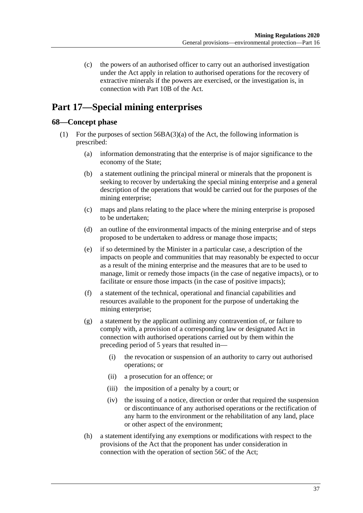(c) the powers of an authorised officer to carry out an authorised investigation under the Act apply in relation to authorised operations for the recovery of extractive minerals if the powers are exercised, or the investigation is, in connection with Part 10B of the Act.

# <span id="page-36-0"></span>**Part 17—Special mining enterprises**

## <span id="page-36-3"></span><span id="page-36-1"></span>**68—Concept phase**

- <span id="page-36-2"></span>(1) For the purposes of section 56BA(3)(a) of the Act, the following information is prescribed:
	- (a) information demonstrating that the enterprise is of major significance to the economy of the State;
	- (b) a statement outlining the principal mineral or minerals that the proponent is seeking to recover by undertaking the special mining enterprise and a general description of the operations that would be carried out for the purposes of the mining enterprise;
	- (c) maps and plans relating to the place where the mining enterprise is proposed to be undertaken;
	- (d) an outline of the environmental impacts of the mining enterprise and of steps proposed to be undertaken to address or manage those impacts;
	- (e) if so determined by the Minister in a particular case, a description of the impacts on people and communities that may reasonably be expected to occur as a result of the mining enterprise and the measures that are to be used to manage, limit or remedy those impacts (in the case of negative impacts), or to facilitate or ensure those impacts (in the case of positive impacts);
	- (f) a statement of the technical, operational and financial capabilities and resources available to the proponent for the purpose of undertaking the mining enterprise;
	- (g) a statement by the applicant outlining any contravention of, or failure to comply with, a provision of a corresponding law or designated Act in connection with authorised operations carried out by them within the preceding period of 5 years that resulted in—
		- (i) the revocation or suspension of an authority to carry out authorised operations; or
		- (ii) a prosecution for an offence; or
		- (iii) the imposition of a penalty by a court; or
		- (iv) the issuing of a notice, direction or order that required the suspension or discontinuance of any authorised operations or the rectification of any harm to the environment or the rehabilitation of any land, place or other aspect of the environment;
	- (h) a statement identifying any exemptions or modifications with respect to the provisions of the Act that the proponent has under consideration in connection with the operation of section 56C of the Act;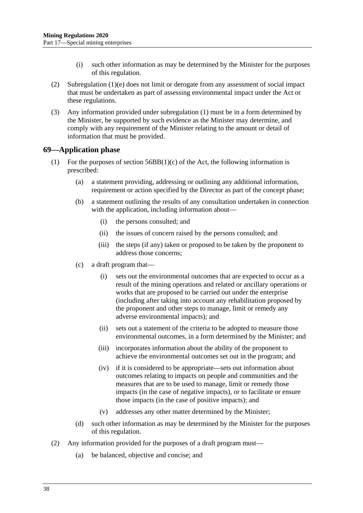- (i) such other information as may be determined by the Minister for the purposes of this regulation.
- (2) [Subregulation \(1\)\(e\)](#page-36-2) does not limit or derogate from any assessment of social impact that must be undertaken as part of assessing environmental impact under the Act or these regulations.
- (3) Any information provided under [subregulation](#page-36-3) (1) must be in a form determined by the Minister, be supported by such evidence as the Minister may determine, and comply with any requirement of the Minister relating to the amount or detail of information that must be provided.

#### <span id="page-37-0"></span>**69—Application phase**

- <span id="page-37-2"></span>(1) For the purposes of section  $56BB(1)(c)$  of the Act, the following information is prescribed:
	- (a) a statement providing, addressing or outlining any additional information, requirement or action specified by the Director as part of the concept phase;
	- (b) a statement outlining the results of any consultation undertaken in connection with the application, including information about—
		- (i) the persons consulted; and
		- (ii) the issues of concern raised by the persons consulted; and
		- (iii) the steps (if any) taken or proposed to be taken by the proponent to address those concerns;
	- (c) a draft program that—
		- (i) sets out the environmental outcomes that are expected to occur as a result of the mining operations and related or ancillary operations or works that are proposed to be carried out under the enterprise (including after taking into account any rehabilitation proposed by the proponent and other steps to manage, limit or remedy any adverse environmental impacts); and
		- (ii) sets out a statement of the criteria to be adopted to measure those environmental outcomes, in a form determined by the Minister; and
		- (iii) incorporates information about the ability of the proponent to achieve the environmental outcomes set out in the program; and
		- (iv) if it is considered to be appropriate—sets out information about outcomes relating to impacts on people and communities and the measures that are to be used to manage, limit or remedy those impacts (in the case of negative impacts), or to facilitate or ensure those impacts (in the case of positive impacts); and
		- (v) addresses any other matter determined by the Minister;
	- (d) such other information as may be determined by the Minister for the purposes of this regulation.
- <span id="page-37-1"></span>(2) Any information provided for the purposes of a draft program must—
	- (a) be balanced, objective and concise; and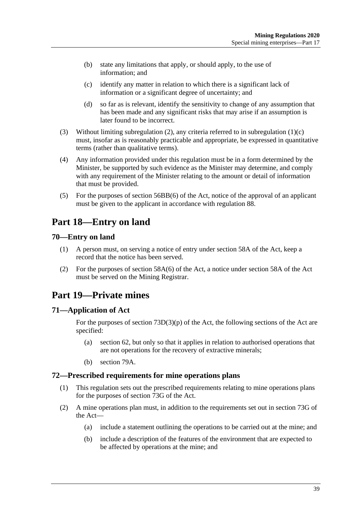- (b) state any limitations that apply, or should apply, to the use of information; and
- (c) identify any matter in relation to which there is a significant lack of information or a significant degree of uncertainty; and
- (d) so far as is relevant, identify the sensitivity to change of any assumption that has been made and any significant risks that may arise if an assumption is later found to be incorrect.
- (3) Without limiting [subregulation](#page-37-1) (2), any criteria referred to in [subregulation](#page-37-2) (1)(c) must, insofar as is reasonably practicable and appropriate, be expressed in quantitative terms (rather than qualitative terms).
- (4) Any information provided under this regulation must be in a form determined by the Minister, be supported by such evidence as the Minister may determine, and comply with any requirement of the Minister relating to the amount or detail of information that must be provided.
- (5) For the purposes of section 56BB(6) of the Act, notice of the approval of an applicant must be given to the applicant in accordance with [regulation](#page-50-0) 88.

# <span id="page-38-0"></span>**Part 18—Entry on land**

## <span id="page-38-1"></span>**70—Entry on land**

- (1) A person must, on serving a notice of entry under section 58A of the Act, keep a record that the notice has been served.
- (2) For the purposes of section 58A(6) of the Act, a notice under section 58A of the Act must be served on the Mining Registrar.

# <span id="page-38-2"></span>**Part 19—Private mines**

## <span id="page-38-3"></span>**71—Application of Act**

For the purposes of section  $73D(3)(p)$  of the Act, the following sections of the Act are specified:

- (a) section 62, but only so that it applies in relation to authorised operations that are not operations for the recovery of extractive minerals;
- (b) section 79A.

## <span id="page-38-4"></span>**72—Prescribed requirements for mine operations plans**

- (1) This regulation sets out the prescribed requirements relating to mine operations plans for the purposes of section 73G of the Act.
- (2) A mine operations plan must, in addition to the requirements set out in section 73G of the Act—
	- (a) include a statement outlining the operations to be carried out at the mine; and
	- (b) include a description of the features of the environment that are expected to be affected by operations at the mine; and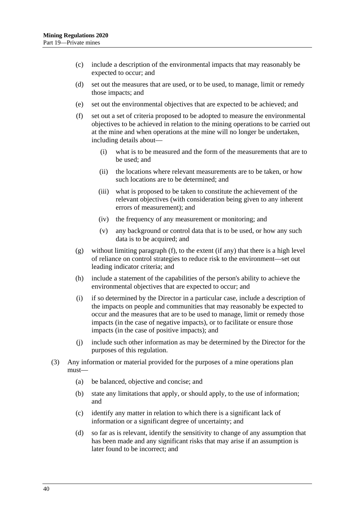- (c) include a description of the environmental impacts that may reasonably be expected to occur; and
- (d) set out the measures that are used, or to be used, to manage, limit or remedy those impacts; and
- <span id="page-39-0"></span>(e) set out the environmental objectives that are expected to be achieved; and
- (f) set out a set of criteria proposed to be adopted to measure the environmental objectives to be achieved in relation to the mining operations to be carried out at the mine and when operations at the mine will no longer be undertaken, including details about—
	- (i) what is to be measured and the form of the measurements that are to be used; and
	- (ii) the locations where relevant measurements are to be taken, or how such locations are to be determined; and
	- (iii) what is proposed to be taken to constitute the achievement of the relevant objectives (with consideration being given to any inherent errors of measurement); and
	- (iv) the frequency of any measurement or monitoring; and
	- (v) any background or control data that is to be used, or how any such data is to be acquired; and
- <span id="page-39-2"></span>(g) without limiting [paragraph](#page-39-0) (f), to the extent (if any) that there is a high level of reliance on control strategies to reduce risk to the environment—set out leading indicator criteria; and
- (h) include a statement of the capabilities of the person's ability to achieve the environmental objectives that are expected to occur; and
- <span id="page-39-3"></span>(i) if so determined by the Director in a particular case, include a description of the impacts on people and communities that may reasonably be expected to occur and the measures that are to be used to manage, limit or remedy those impacts (in the case of negative impacts), or to facilitate or ensure those impacts (in the case of positive impacts); and
- (j) include such other information as may be determined by the Director for the purposes of this regulation.
- <span id="page-39-1"></span>(3) Any information or material provided for the purposes of a mine operations plan must—
	- (a) be balanced, objective and concise; and
	- (b) state any limitations that apply, or should apply, to the use of information; and
	- (c) identify any matter in relation to which there is a significant lack of information or a significant degree of uncertainty; and
	- (d) so far as is relevant, identify the sensitivity to change of any assumption that has been made and any significant risks that may arise if an assumption is later found to be incorrect; and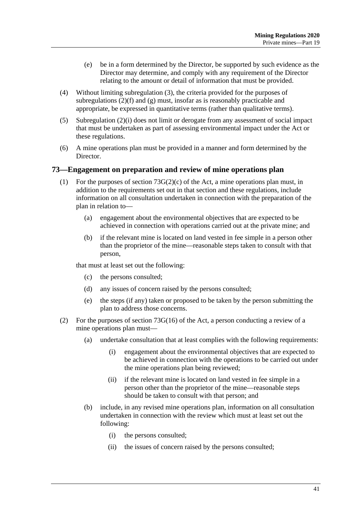- (e) be in a form determined by the Director, be supported by such evidence as the Director may determine, and comply with any requirement of the Director relating to the amount or detail of information that must be provided.
- (4) Without limiting [subregulation](#page-39-1) (3), the criteria provided for the purposes of subregulations  $(2)(f)$  and  $(g)$  must, insofar as is reasonably practicable and appropriate, be expressed in quantitative terms (rather than qualitative terms).
- (5) [Subregulation \(2\)\(i\)](#page-39-3) does not limit or derogate from any assessment of social impact that must be undertaken as part of assessing environmental impact under the Act or these regulations.
- (6) A mine operations plan must be provided in a manner and form determined by the Director.

#### <span id="page-40-0"></span>**73—Engagement on preparation and review of mine operations plan**

- (1) For the purposes of section  $73G(2)(c)$  of the Act, a mine operations plan must, in addition to the requirements set out in that section and these regulations, include information on all consultation undertaken in connection with the preparation of the plan in relation to—
	- (a) engagement about the environmental objectives that are expected to be achieved in connection with operations carried out at the private mine; and
	- (b) if the relevant mine is located on land vested in fee simple in a person other than the proprietor of the mine—reasonable steps taken to consult with that person,

that must at least set out the following:

- (c) the persons consulted;
- (d) any issues of concern raised by the persons consulted;
- (e) the steps (if any) taken or proposed to be taken by the person submitting the plan to address those concerns.
- (2) For the purposes of section 73G(16) of the Act, a person conducting a review of a mine operations plan must—
	- (a) undertake consultation that at least complies with the following requirements:
		- (i) engagement about the environmental objectives that are expected to be achieved in connection with the operations to be carried out under the mine operations plan being reviewed;
		- (ii) if the relevant mine is located on land vested in fee simple in a person other than the proprietor of the mine—reasonable steps should be taken to consult with that person; and
	- (b) include, in any revised mine operations plan, information on all consultation undertaken in connection with the review which must at least set out the following:
		- (i) the persons consulted;
		- (ii) the issues of concern raised by the persons consulted;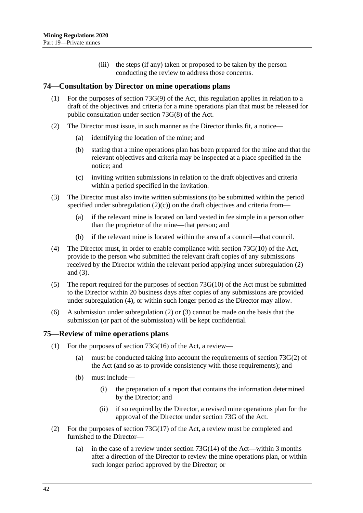(iii) the steps (if any) taken or proposed to be taken by the person conducting the review to address those concerns.

### <span id="page-41-0"></span>**74—Consultation by Director on mine operations plans**

- (1) For the purposes of section 73G(9) of the Act, this regulation applies in relation to a draft of the objectives and criteria for a mine operations plan that must be released for public consultation under section 73G(8) of the Act.
- <span id="page-41-3"></span>(2) The Director must issue, in such manner as the Director thinks fit, a notice—
	- (a) identifying the location of the mine; and
	- (b) stating that a mine operations plan has been prepared for the mine and that the relevant objectives and criteria may be inspected at a place specified in the notice; and
	- (c) inviting written submissions in relation to the draft objectives and criteria within a period specified in the invitation.
- <span id="page-41-4"></span><span id="page-41-2"></span>(3) The Director must also invite written submissions (to be submitted within the period specified under [subregulation](#page-41-2)  $(2)(c)$  on the draft objectives and criteria from—
	- (a) if the relevant mine is located on land vested in fee simple in a person other than the proprietor of the mine—that person; and
	- (b) if the relevant mine is located within the area of a council—that council.
- <span id="page-41-5"></span>(4) The Director must, in order to enable compliance with section 73G(10) of the Act, provide to the person who submitted the relevant draft copies of any submissions received by the Director within the relevant period applying under [subregulation](#page-41-3) (2) and [\(3\).](#page-41-4)
- (5) The report required for the purposes of section 73G(10) of the Act must be submitted to the Director within 20 business days after copies of any submissions are provided under [subregulation](#page-41-5) (4), or within such longer period as the Director may allow.
- (6) A submission under [subregulation](#page-41-3) (2) or [\(3\)](#page-41-4) cannot be made on the basis that the submission (or part of the submission) will be kept confidential.

#### <span id="page-41-1"></span>**75—Review of mine operations plans**

- (1) For the purposes of section  $73G(16)$  of the Act, a review—
	- (a) must be conducted taking into account the requirements of section 73G(2) of the Act (and so as to provide consistency with those requirements); and
	- (b) must include—
		- (i) the preparation of a report that contains the information determined by the Director; and
		- (ii) if so required by the Director, a revised mine operations plan for the approval of the Director under section 73G of the Act.
- (2) For the purposes of section  $73G(17)$  of the Act, a review must be completed and furnished to the Director—
	- (a) in the case of a review under section  $73G(14)$  of the Act—within 3 months after a direction of the Director to review the mine operations plan, or within such longer period approved by the Director; or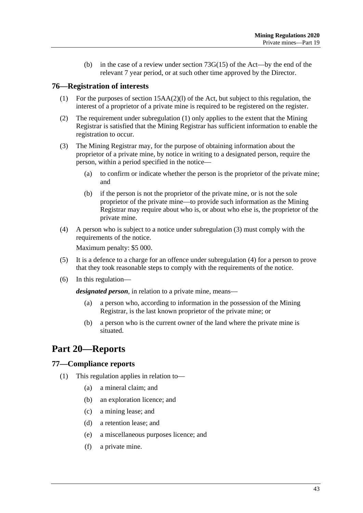(b) in the case of a review under section 73G(15) of the Act—by the end of the relevant 7 year period, or at such other time approved by the Director.

## <span id="page-42-4"></span><span id="page-42-0"></span>**76—Registration of interests**

- (1) For the purposes of section 15AA(2)(l) of the Act, but subject to this regulation, the interest of a proprietor of a private mine is required to be registered on the register.
- (2) The requirement under [subregulation](#page-42-4) (1) only applies to the extent that the Mining Registrar is satisfied that the Mining Registrar has sufficient information to enable the registration to occur.
- <span id="page-42-5"></span>(3) The Mining Registrar may, for the purpose of obtaining information about the proprietor of a private mine, by notice in writing to a designated person, require the person, within a period specified in the notice—
	- (a) to confirm or indicate whether the person is the proprietor of the private mine; and
	- (b) if the person is not the proprietor of the private mine, or is not the sole proprietor of the private mine—to provide such information as the Mining Registrar may require about who is, or about who else is, the proprietor of the private mine.
- <span id="page-42-6"></span>(4) A person who is subject to a notice under [subregulation](#page-42-5) (3) must comply with the requirements of the notice.

Maximum penalty: \$5 000.

- (5) It is a defence to a charge for an offence under [subregulation](#page-42-6) (4) for a person to prove that they took reasonable steps to comply with the requirements of the notice.
- (6) In this regulation—

*designated person*, in relation to a private mine, means—

- (a) a person who, according to information in the possession of the Mining Registrar, is the last known proprietor of the private mine; or
- (b) a person who is the current owner of the land where the private mine is situated.

# <span id="page-42-1"></span>**Part 20—Reports**

## <span id="page-42-2"></span>**77—Compliance reports**

- <span id="page-42-3"></span>(1) This regulation applies in relation to—
	- (a) a mineral claim; and
	- (b) an exploration licence; and
	- (c) a mining lease; and
	- (d) a retention lease; and
	- (e) a miscellaneous purposes licence; and
	- (f) a private mine.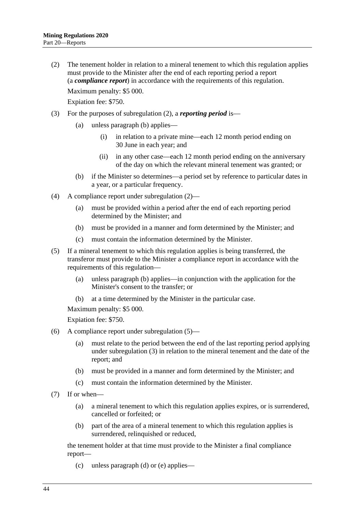<span id="page-43-0"></span>(2) The tenement holder in relation to a mineral tenement to which this regulation applies must provide to the Minister after the end of each reporting period a report (a *compliance report*) in accordance with the requirements of this regulation. Maximum penalty: \$5 000.

Expiation fee: \$750.

- <span id="page-43-4"></span>(3) For the purposes of [subregulation \(2\),](#page-43-0) a *reporting period* is—
	- (a) unless [paragraph](#page-43-1) (b) applies—
		- (i) in relation to a private mine—each 12 month period ending on 30 June in each year; and
		- (ii) in any other case—each 12 month period ending on the anniversary of the day on which the relevant mineral tenement was granted; or
	- (b) if the Minister so determines—a period set by reference to particular dates in a year, or a particular frequency.
- <span id="page-43-1"></span>(4) A compliance report under [subregulation](#page-43-0) (2)—
	- (a) must be provided within a period after the end of each reporting period determined by the Minister; and
	- (b) must be provided in a manner and form determined by the Minister; and
	- (c) must contain the information determined by the Minister.
- <span id="page-43-3"></span>(5) If a mineral tenement to which this regulation applies is being transferred, the transferor must provide to the Minister a compliance report in accordance with the requirements of this regulation—
	- (a) unless [paragraph](#page-43-2) (b) applies—in conjunction with the application for the Minister's consent to the transfer; or
	- (b) at a time determined by the Minister in the particular case.

<span id="page-43-2"></span>Maximum penalty: \$5 000.

Expiation fee: \$750.

- (6) A compliance report under [subregulation](#page-43-3) (5)—
	- (a) must relate to the period between the end of the last reporting period applying under [subregulation](#page-43-4) (3) in relation to the mineral tenement and the date of the report; and
	- (b) must be provided in a manner and form determined by the Minister; and
	- (c) must contain the information determined by the Minister.
- (7) If or when—
	- (a) a mineral tenement to which this regulation applies expires, or is surrendered, cancelled or forfeited; or
	- (b) part of the area of a mineral tenement to which this regulation applies is surrendered, relinquished or reduced,

the tenement holder at that time must provide to the Minister a final compliance report—

(c) unless [paragraph](#page-44-1) (d) or [\(e\)](#page-44-2) applies—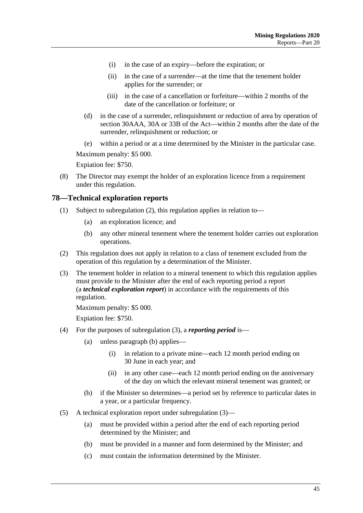- (i) in the case of an expiry—before the expiration; or
- (ii) in the case of a surrender—at the time that the tenement holder applies for the surrender; or
- (iii) in the case of a cancellation or forfeiture—within 2 months of the date of the cancellation or forfeiture; or
- <span id="page-44-1"></span>(d) in the case of a surrender, relinquishment or reduction of area by operation of section 30AAA, 30A or 33B of the Act—within 2 months after the date of the surrender, relinquishment or reduction; or
- (e) within a period or at a time determined by the Minister in the particular case.

<span id="page-44-2"></span>Maximum penalty: \$5 000.

Expiation fee: \$750.

(8) The Director may exempt the holder of an exploration licence from a requirement under this regulation.

#### <span id="page-44-0"></span>**78—Technical exploration reports**

- (1) Subject to [subregulation](#page-44-3) (2), this regulation applies in relation to—
	- (a) an exploration licence; and
	- (b) any other mineral tenement where the tenement holder carries out exploration operations.
- <span id="page-44-3"></span>(2) This regulation does not apply in relation to a class of tenement excluded from the operation of this regulation by a determination of the Minister.
- <span id="page-44-4"></span>(3) The tenement holder in relation to a mineral tenement to which this regulation applies must provide to the Minister after the end of each reporting period a report (a *technical exploration report*) in accordance with the requirements of this regulation.

Maximum penalty: \$5 000.

Expiation fee: \$750.

- (4) For the purposes of [subregulation](#page-44-4) (3), a *reporting period* is—
	- (a) unless [paragraph](#page-44-5) (b) applies—
		- (i) in relation to a private mine—each 12 month period ending on 30 June in each year; and
		- (ii) in any other case—each 12 month period ending on the anniversary of the day on which the relevant mineral tenement was granted; or
	- (b) if the Minister so determines—a period set by reference to particular dates in a year, or a particular frequency.
- <span id="page-44-5"></span>(5) A technical exploration report under [subregulation](#page-44-4) (3)—
	- (a) must be provided within a period after the end of each reporting period determined by the Minister; and
	- (b) must be provided in a manner and form determined by the Minister; and
	- (c) must contain the information determined by the Minister.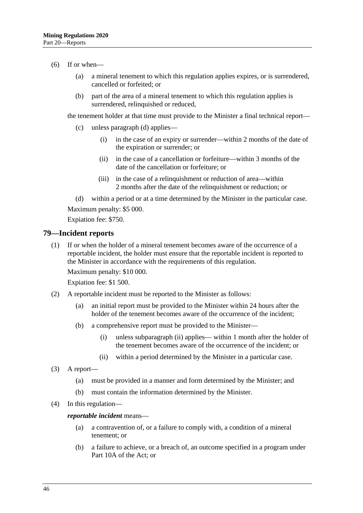#### $(6)$  If or when—

- (a) a mineral tenement to which this regulation applies expires, or is surrendered, cancelled or forfeited; or
- (b) part of the area of a mineral tenement to which this regulation applies is surrendered, relinquished or reduced,

the tenement holder at that time must provide to the Minister a final technical report—

- (c) unless [paragraph](#page-45-1) (d) applies—
	- (i) in the case of an expiry or surrender—within 2 months of the date of the expiration or surrender; or
	- (ii) in the case of a cancellation or forfeiture—within 3 months of the date of the cancellation or forfeiture; or
	- (iii) in the case of a relinquishment or reduction of area—within 2 months after the date of the relinquishment or reduction; or

<span id="page-45-1"></span>(d) within a period or at a time determined by the Minister in the particular case. Maximum penalty: \$5 000.

Expiation fee: \$750.

#### <span id="page-45-0"></span>**79—Incident reports**

(1) If or when the holder of a mineral tenement becomes aware of the occurrence of a reportable incident, the holder must ensure that the reportable incident is reported to the Minister in accordance with the requirements of this regulation.

Maximum penalty: \$10 000.

Expiation fee: \$1 500.

- (2) A reportable incident must be reported to the Minister as follows:
	- (a) an initial report must be provided to the Minister within 24 hours after the holder of the tenement becomes aware of the occurrence of the incident;
	- (b) a comprehensive report must be provided to the Minister—
		- (i) unless [subparagraph](#page-45-2) (ii) applies— within 1 month after the holder of the tenement becomes aware of the occurrence of the incident; or
		- (ii) within a period determined by the Minister in a particular case.
- <span id="page-45-2"></span>(3) A report—
	- (a) must be provided in a manner and form determined by the Minister; and
	- (b) must contain the information determined by the Minister.
- (4) In this regulation—

#### *reportable incident* means—

- (a) a contravention of, or a failure to comply with, a condition of a mineral tenement; or
- (b) a failure to achieve, or a breach of, an outcome specified in a program under Part 10A of the Act; or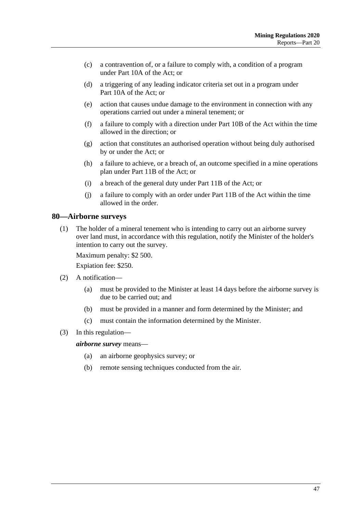- (c) a contravention of, or a failure to comply with, a condition of a program under Part 10A of the Act; or
- (d) a triggering of any leading indicator criteria set out in a program under Part 10A of the Act; or
- (e) action that causes undue damage to the environment in connection with any operations carried out under a mineral tenement; or
- (f) a failure to comply with a direction under Part 10B of the Act within the time allowed in the direction; or
- (g) action that constitutes an authorised operation without being duly authorised by or under the Act; or
- (h) a failure to achieve, or a breach of, an outcome specified in a mine operations plan under Part 11B of the Act; or
- (i) a breach of the general duty under Part 11B of the Act; or
- (j) a failure to comply with an order under Part 11B of the Act within the time allowed in the order.

#### <span id="page-46-0"></span>**80—Airborne surveys**

(1) The holder of a mineral tenement who is intending to carry out an airborne survey over land must, in accordance with this regulation, notify the Minister of the holder's intention to carry out the survey.

Maximum penalty: \$2 500.

Expiation fee: \$250.

- (2) A notification—
	- (a) must be provided to the Minister at least 14 days before the airborne survey is due to be carried out; and
	- (b) must be provided in a manner and form determined by the Minister; and
	- (c) must contain the information determined by the Minister.
- (3) In this regulation—

*airborne survey* means—

- (a) an airborne geophysics survey; or
- (b) remote sensing techniques conducted from the air.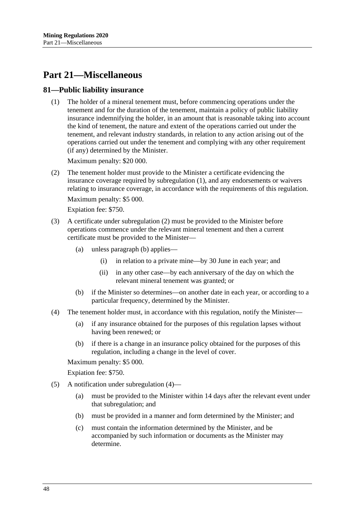## <span id="page-47-0"></span>**Part 21—Miscellaneous**

### <span id="page-47-2"></span><span id="page-47-1"></span>**81—Public liability insurance**

(1) The holder of a mineral tenement must, before commencing operations under the tenement and for the duration of the tenement, maintain a policy of public liability insurance indemnifying the holder, in an amount that is reasonable taking into account the kind of tenement, the nature and extent of the operations carried out under the tenement, and relevant industry standards, in relation to any action arising out of the operations carried out under the tenement and complying with any other requirement (if any) determined by the Minister.

Maximum penalty: \$20 000.

<span id="page-47-3"></span>(2) The tenement holder must provide to the Minister a certificate evidencing the insurance coverage required by [subregulation](#page-47-2) (1), and any endorsements or waivers relating to insurance coverage, in accordance with the requirements of this regulation.

Maximum penalty: \$5 000.

Expiation fee: \$750.

- (3) A certificate under [subregulation](#page-47-3) (2) must be provided to the Minister before operations commence under the relevant mineral tenement and then a current certificate must be provided to the Minister—
	- (a) unless [paragraph](#page-47-4) (b) applies—
		- (i) in relation to a private mine—by 30 June in each year; and
		- (ii) in any other case—by each anniversary of the day on which the relevant mineral tenement was granted; or
	- (b) if the Minister so determines—on another date in each year, or according to a particular frequency, determined by the Minister.
- <span id="page-47-5"></span><span id="page-47-4"></span>(4) The tenement holder must, in accordance with this regulation, notify the Minister—
	- (a) if any insurance obtained for the purposes of this regulation lapses without having been renewed; or
	- (b) if there is a change in an insurance policy obtained for the purposes of this regulation, including a change in the level of cover.

Maximum penalty: \$5 000.

Expiation fee: \$750.

- (5) A notification under [subregulation](#page-47-5) (4)—
	- (a) must be provided to the Minister within 14 days after the relevant event under that subregulation; and
	- (b) must be provided in a manner and form determined by the Minister; and
	- (c) must contain the information determined by the Minister, and be accompanied by such information or documents as the Minister may determine.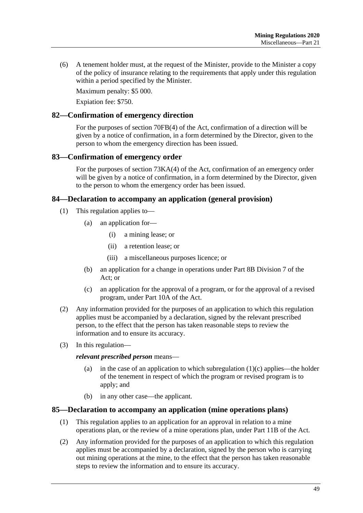(6) A tenement holder must, at the request of the Minister, provide to the Minister a copy of the policy of insurance relating to the requirements that apply under this regulation within a period specified by the Minister.

Maximum penalty: \$5 000.

Expiation fee: \$750.

## <span id="page-48-0"></span>**82—Confirmation of emergency direction**

For the purposes of section 70FB(4) of the Act, confirmation of a direction will be given by a notice of confirmation, in a form determined by the Director, given to the person to whom the emergency direction has been issued.

## <span id="page-48-1"></span>**83—Confirmation of emergency order**

For the purposes of section 73KA(4) of the Act, confirmation of an emergency order will be given by a notice of confirmation, in a form determined by the Director, given to the person to whom the emergency order has been issued.

## <span id="page-48-2"></span>**84—Declaration to accompany an application (general provision)**

- (1) This regulation applies to—
	- (a) an application for—
		- (i) a mining lease; or
		- (ii) a retention lease; or
		- (iii) a miscellaneous purposes licence; or
	- (b) an application for a change in operations under Part 8B Division 7 of the Act; or
	- (c) an application for the approval of a program, or for the approval of a revised program, under Part 10A of the Act.
- <span id="page-48-4"></span>(2) Any information provided for the purposes of an application to which this regulation applies must be accompanied by a declaration, signed by the relevant prescribed person, to the effect that the person has taken reasonable steps to review the information and to ensure its accuracy.
- (3) In this regulation—

#### *relevant prescribed person* means—

- (a) in the case of an application to which [subregulation](#page-48-4)  $(1)(c)$  applies—the holder of the tenement in respect of which the program or revised program is to apply; and
- (b) in any other case—the applicant.

#### <span id="page-48-3"></span>**85—Declaration to accompany an application (mine operations plans)**

- (1) This regulation applies to an application for an approval in relation to a mine operations plan, or the review of a mine operations plan, under Part 11B of the Act.
- (2) Any information provided for the purposes of an application to which this regulation applies must be accompanied by a declaration, signed by the person who is carrying out mining operations at the mine, to the effect that the person has taken reasonable steps to review the information and to ensure its accuracy.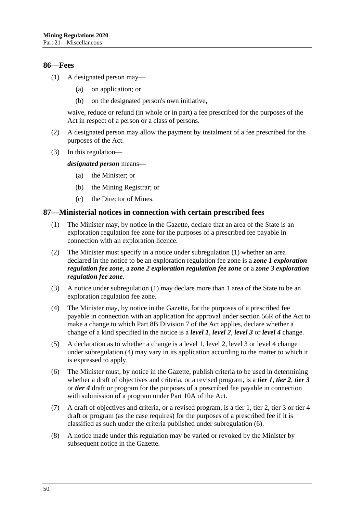#### <span id="page-49-0"></span>**86—Fees**

- (1) A designated person may—
	- (a) on application; or
	- (b) on the designated person's own initiative,

waive, reduce or refund (in whole or in part) a fee prescribed for the purposes of the Act in respect of a person or a class of persons.

- (2) A designated person may allow the payment by instalment of a fee prescribed for the purposes of the Act.
- (3) In this regulation—

*designated person* means—

- (a) the Minister; or
- (b) the Mining Registrar; or
- (c) the Director of Mines.

#### <span id="page-49-2"></span><span id="page-49-1"></span>**87—Ministerial notices in connection with certain prescribed fees**

- (1) The Minister may, by notice in the Gazette, declare that an area of the State is an exploration regulation fee zone for the purposes of a prescribed fee payable in connection with an exploration licence.
- (2) The Minister must specify in a notice under [subregulation](#page-49-2) (1) whether an area declared in the notice to be an exploration regulation fee zone is a *zone 1 exploration regulation fee zone*, a *zone 2 exploration regulation fee zone* or a *zone 3 exploration regulation fee zone*.
- (3) A notice under [subregulation](#page-49-2) (1) may declare more than 1 area of the State to be an exploration regulation fee zone.
- <span id="page-49-3"></span>(4) The Minister may, by notice in the Gazette, for the purposes of a prescribed fee payable in connection with an application for approval under section 56R of the Act to make a change to which Part 8B Division 7 of the Act applies, declare whether a change of a kind specified in the notice is a *level 1*, *level 2*, *level 3* or *level 4* change.
- (5) A declaration as to whether a change is a level 1, level 2, level 3 or level 4 change under [subregulation](#page-49-3) (4) may vary in its application according to the matter to which it is expressed to apply.
- <span id="page-49-4"></span>(6) The Minister must, by notice in the Gazette, publish criteria to be used in determining whether a draft of objectives and criteria, or a revised program, is a *tier 1*, *tier 2*, *tier 3* or *tier 4* draft or program for the purposes of a prescribed fee payable in connection with submission of a program under Part 10A of the Act.
- (7) A draft of objectives and criteria, or a revised program, is a tier 1, tier 2, tier 3 or tier 4 draft or program (as the case requires) for the purposes of a prescribed fee if it is classified as such under the criteria published under [subregulation](#page-49-4) (6).
- (8) A notice made under this regulation may be varied or revoked by the Minister by subsequent notice in the Gazette.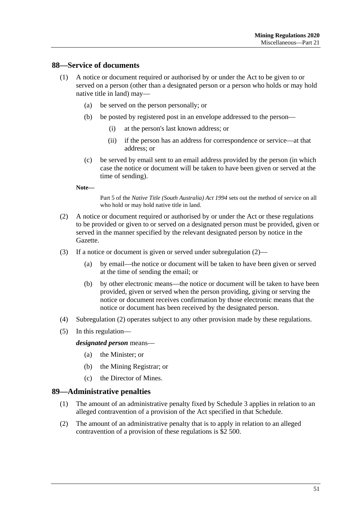### <span id="page-50-0"></span>**88—Service of documents**

- (1) A notice or document required or authorised by or under the Act to be given to or served on a person (other than a designated person or a person who holds or may hold native title in land) may—
	- (a) be served on the person personally; or
	- (b) be posted by registered post in an envelope addressed to the person—
		- (i) at the person's last known address; or
		- (ii) if the person has an address for correspondence or service—at that address; or
	- (c) be served by email sent to an email address provided by the person (in which case the notice or document will be taken to have been given or served at the time of sending).

**Note—**

Part 5 of the *[Native Title \(South Australia\) Act](http://www.legislation.sa.gov.au/index.aspx?action=legref&type=act&legtitle=Native%20Title%20(South%20Australia)%20Act%201994) 1994* sets out the method of service on all who hold or may hold native title in land.

- <span id="page-50-2"></span>(2) A notice or document required or authorised by or under the Act or these regulations to be provided or given to or served on a designated person must be provided, given or served in the manner specified by the relevant designated person by notice in the Gazette.
- (3) If a notice or document is given or served under [subregulation](#page-50-2) (2)—
	- (a) by email—the notice or document will be taken to have been given or served at the time of sending the email; or
	- (b) by other electronic means—the notice or document will be taken to have been provided, given or served when the person providing, giving or serving the notice or document receives confirmation by those electronic means that the notice or document has been received by the designated person.
- (4) [Subregulation \(2\)](#page-50-2) operates subject to any other provision made by these regulations.
- (5) In this regulation—

#### *designated person* means—

- (a) the Minister; or
- (b) the Mining Registrar; or
- (c) the Director of Mines.

#### <span id="page-50-1"></span>**89—Administrative penalties**

- (1) The amount of an administrative penalty fixed by [Schedule](#page-53-0) 3 applies in relation to an alleged contravention of a provision of the Act specified in that Schedule.
- (2) The amount of an administrative penalty that is to apply in relation to an alleged contravention of a provision of these regulations is \$2 500.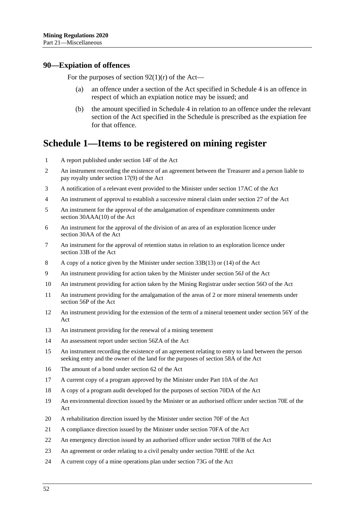#### <span id="page-51-0"></span>**90—Expiation of offences**

For the purposes of section  $92(1)(r)$  of the Act—

- (a) an offence under a section of the Act specified in [Schedule](#page-53-1) 4 is an offence in respect of which an expiation notice may be issued; and
- (b) the amount specified in [Schedule](#page-53-1) 4 in relation to an offence under the relevant section of the Act specified in the Schedule is prescribed as the expiation fee for that offence.

## <span id="page-51-1"></span>**Schedule 1—Items to be registered on mining register**

- 1 A report published under section 14F of the Act
- 2 An instrument recording the existence of an agreement between the Treasurer and a person liable to pay royalty under section 17(9) of the Act
- 3 A notification of a relevant event provided to the Minister under section 17AC of the Act
- 4 An instrument of approval to establish a successive mineral claim under section 27 of the Act
- 5 An instrument for the approval of the amalgamation of expenditure commitments under section 30AAA(10) of the Act
- 6 An instrument for the approval of the division of an area of an exploration licence under section 30AA of the Act
- 7 An instrument for the approval of retention status in relation to an exploration licence under section 33B of the Act
- 8 A copy of a notice given by the Minister under section 33B(13) or (14) of the Act
- 9 An instrument providing for action taken by the Minister under section 56J of the Act
- 10 An instrument providing for action taken by the Mining Registrar under section 56O of the Act
- 11 An instrument providing for the amalgamation of the areas of 2 or more mineral tenements under section 56P of the Act
- 12 An instrument providing for the extension of the term of a mineral tenement under section 56Y of the Act
- 13 An instrument providing for the renewal of a mining tenement
- 14 An assessment report under section 56ZA of the Act
- 15 An instrument recording the existence of an agreement relating to entry to land between the person seeking entry and the owner of the land for the purposes of section 58A of the Act
- 16 The amount of a bond under section 62 of the Act
- 17 A current copy of a program approved by the Minister under Part 10A of the Act
- 18 A copy of a program audit developed for the purposes of section 70DA of the Act
- 19 An environmental direction issued by the Minister or an authorised officer under section 70E of the Act
- 20 A rehabilitation direction issued by the Minister under section 70F of the Act
- 21 A compliance direction issued by the Minister under section 70FA of the Act
- 22 An emergency direction issued by an authorised officer under section 70FB of the Act
- 23 An agreement or order relating to a civil penalty under section 70HE of the Act
- 24 A current copy of a mine operations plan under section 73G of the Act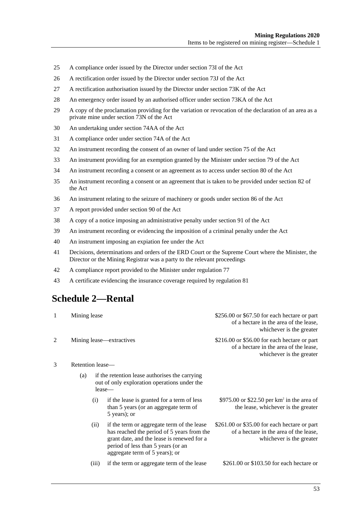- 25 A compliance order issued by the Director under section 73I of the Act
- 26 A rectification order issued by the Director under section 73J of the Act
- 27 A rectification authorisation issued by the Director under section 73K of the Act
- 28 An emergency order issued by an authorised officer under section 73KA of the Act
- 29 A copy of the proclamation providing for the variation or revocation of the declaration of an area as a private mine under section 73N of the Act
- 30 An undertaking under section 74AA of the Act
- 31 A compliance order under section 74A of the Act
- 32 An instrument recording the consent of an owner of land under section 75 of the Act
- 33 An instrument providing for an exemption granted by the Minister under section 79 of the Act
- 34 An instrument recording a consent or an agreement as to access under section 80 of the Act
- 35 An instrument recording a consent or an agreement that is taken to be provided under section 82 of the Act
- 36 An instrument relating to the seizure of machinery or goods under section 86 of the Act
- 37 A report provided under section 90 of the Act
- 38 A copy of a notice imposing an administrative penalty under section 91 of the Act
- 39 An instrument recording or evidencing the imposition of a criminal penalty under the Act
- 40 An instrument imposing an expiation fee under the Act
- 41 Decisions, determinations and orders of the ERD Court or the Supreme Court where the Minister, the Director or the Mining Registrar was a party to the relevant proceedings
- 42 A compliance report provided to the Minister under [regulation](#page-42-2) 77
- <span id="page-52-0"></span>43 A certificate evidencing the insurance coverage required by [regulation](#page-47-1) 81

## **Schedule 2—Rental**

| 1              | Mining lease             |       |                                                                                                                                                                                                                | \$256.00 or \$67.50 for each hectare or part<br>of a hectare in the area of the lease,<br>whichever is the greater  |
|----------------|--------------------------|-------|----------------------------------------------------------------------------------------------------------------------------------------------------------------------------------------------------------------|---------------------------------------------------------------------------------------------------------------------|
| $\mathfrak{D}$ | Mining lease—extractives |       |                                                                                                                                                                                                                | \$216.00 or \$56.00 for each hectare or part<br>of a hectare in the area of the lease,<br>whichever is the greater  |
| 3              | Retention lease—         |       |                                                                                                                                                                                                                |                                                                                                                     |
|                | (a)                      |       | if the retention lease authorises the carrying<br>out of only exploration operations under the<br>lease—                                                                                                       |                                                                                                                     |
|                |                          | (i)   | if the lease is granted for a term of less<br>than 5 years (or an aggregate term of<br>5 years); or                                                                                                            | \$975.00 or \$22.50 per $km^2$ in the area of<br>the lease, whichever is the greater                                |
|                |                          | (ii)  | if the term or aggregate term of the lease<br>has reached the period of 5 years from the<br>grant date, and the lease is renewed for a<br>period of less than 5 years (or an<br>aggregate term of 5 years); or | $$261.00$ or \$35.00 for each hectare or part<br>of a hectare in the area of the lease,<br>whichever is the greater |
|                |                          | (iii) | if the term or aggregate term of the lease                                                                                                                                                                     | \$261.00 or \$103.50 for each hectare or                                                                            |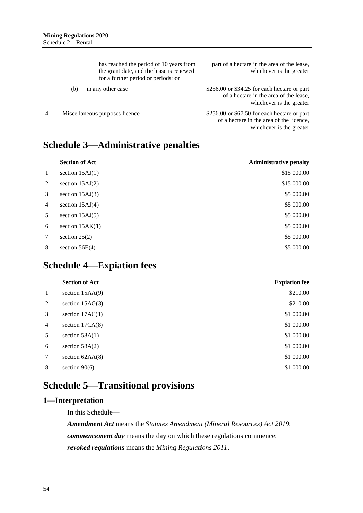|   |     | has reached the period of 10 years from<br>the grant date, and the lease is renewed<br>for a further period or periods; or | part of a hectare in the area of the lease,<br>whichever is the greater                                                |
|---|-----|----------------------------------------------------------------------------------------------------------------------------|------------------------------------------------------------------------------------------------------------------------|
|   | (b) | in any other case                                                                                                          | \$256.00 or \$34.25 for each hectare or part<br>of a hectare in the area of the lease,<br>whichever is the greater     |
| 4 |     | Miscellaneous purposes licence                                                                                             | $$256.00$ or $$67.50$ for each hectare or part<br>of a hectare in the area of the licence,<br>whichever is the greater |

# <span id="page-53-0"></span>**Schedule 3—Administrative penalties**

|                | <b>Section of Act</b> | <b>Administrative penalty</b> |
|----------------|-----------------------|-------------------------------|
| $\mathbf{1}$   | section $15AJ(1)$     | \$15 000.00                   |
| 2              | section $15AJ(2)$     | \$15 000.00                   |
| 3              | section $15AJ(3)$     | \$5 000.00                    |
| $\overline{4}$ | section $15AJ(4)$     | \$5 000.00                    |
| 5              | section $15AJ(5)$     | \$5 000.00                    |
| 6              | section $15AK(1)$     | \$5 000.00                    |
| 7              | section $25(2)$       | \$5 000.00                    |
| 8              | section $56E(4)$      | \$5 000.00                    |
|                |                       |                               |

# <span id="page-53-1"></span>**Schedule 4—Expiation fees**

|                | <b>Section of Act</b> | <b>Expiation fee</b> |
|----------------|-----------------------|----------------------|
| -1             | section $15AA(9)$     | \$210.00             |
| 2              | section $15AG(3)$     | \$210.00             |
| 3              | section $17AC(1)$     | \$1 000.00           |
| $\overline{4}$ | section $17CA(8)$     | \$1 000.00           |
| 5              | section $58A(1)$      | \$1 000.00           |
| 6              | section $58A(2)$      | \$1 000.00           |
| 7              | section $62AA(8)$     | \$1 000.00           |
| 8              | section $90(6)$       | \$1 000.00           |
|                |                       |                      |

# <span id="page-53-2"></span>**Schedule 5—Transitional provisions**

## <span id="page-53-3"></span>**1—Interpretation**

In this Schedule—

*Amendment Act* means the *[Statutes Amendment \(Mineral Resources\) Act 2019](http://www.legislation.sa.gov.au/index.aspx?action=legref&type=act&legtitle=Statutes%20Amendment%20(Mineral%20Resources)%20Act%202019)*; *commencement day* means the day on which these regulations commence; *revoked regulations* means the *[Mining Regulations](http://www.legislation.sa.gov.au/index.aspx?action=legref&type=subordleg&legtitle=Mining%20Regulations%202011) 2011*.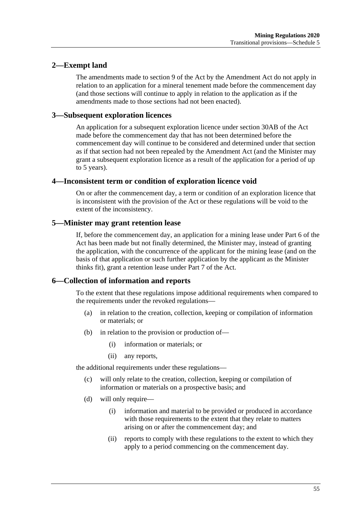## <span id="page-54-0"></span>**2—Exempt land**

The amendments made to section 9 of the Act by the Amendment Act do not apply in relation to an application for a mineral tenement made before the commencement day (and those sections will continue to apply in relation to the application as if the amendments made to those sections had not been enacted).

## <span id="page-54-1"></span>**3—Subsequent exploration licences**

An application for a subsequent exploration licence under section 30AB of the Act made before the commencement day that has not been determined before the commencement day will continue to be considered and determined under that section as if that section had not been repealed by the Amendment Act (and the Minister may grant a subsequent exploration licence as a result of the application for a period of up to 5 years).

## <span id="page-54-2"></span>**4—Inconsistent term or condition of exploration licence void**

On or after the commencement day, a term or condition of an exploration licence that is inconsistent with the provision of the Act or these regulations will be void to the extent of the inconsistency.

## <span id="page-54-3"></span>**5—Minister may grant retention lease**

If, before the commencement day, an application for a mining lease under Part 6 of the Act has been made but not finally determined, the Minister may, instead of granting the application, with the concurrence of the applicant for the mining lease (and on the basis of that application or such further application by the applicant as the Minister thinks fit), grant a retention lease under Part 7 of the Act.

## <span id="page-54-4"></span>**6—Collection of information and reports**

To the extent that these regulations impose additional requirements when compared to the requirements under the revoked regulations—

- (a) in relation to the creation, collection, keeping or compilation of information or materials; or
- (b) in relation to the provision or production of—
	- (i) information or materials; or
	- (ii) any reports,

the additional requirements under these regulations—

- (c) will only relate to the creation, collection, keeping or compilation of information or materials on a prospective basis; and
- (d) will only require—
	- (i) information and material to be provided or produced in accordance with those requirements to the extent that they relate to matters arising on or after the commencement day; and
	- (ii) reports to comply with these regulations to the extent to which they apply to a period commencing on the commencement day.